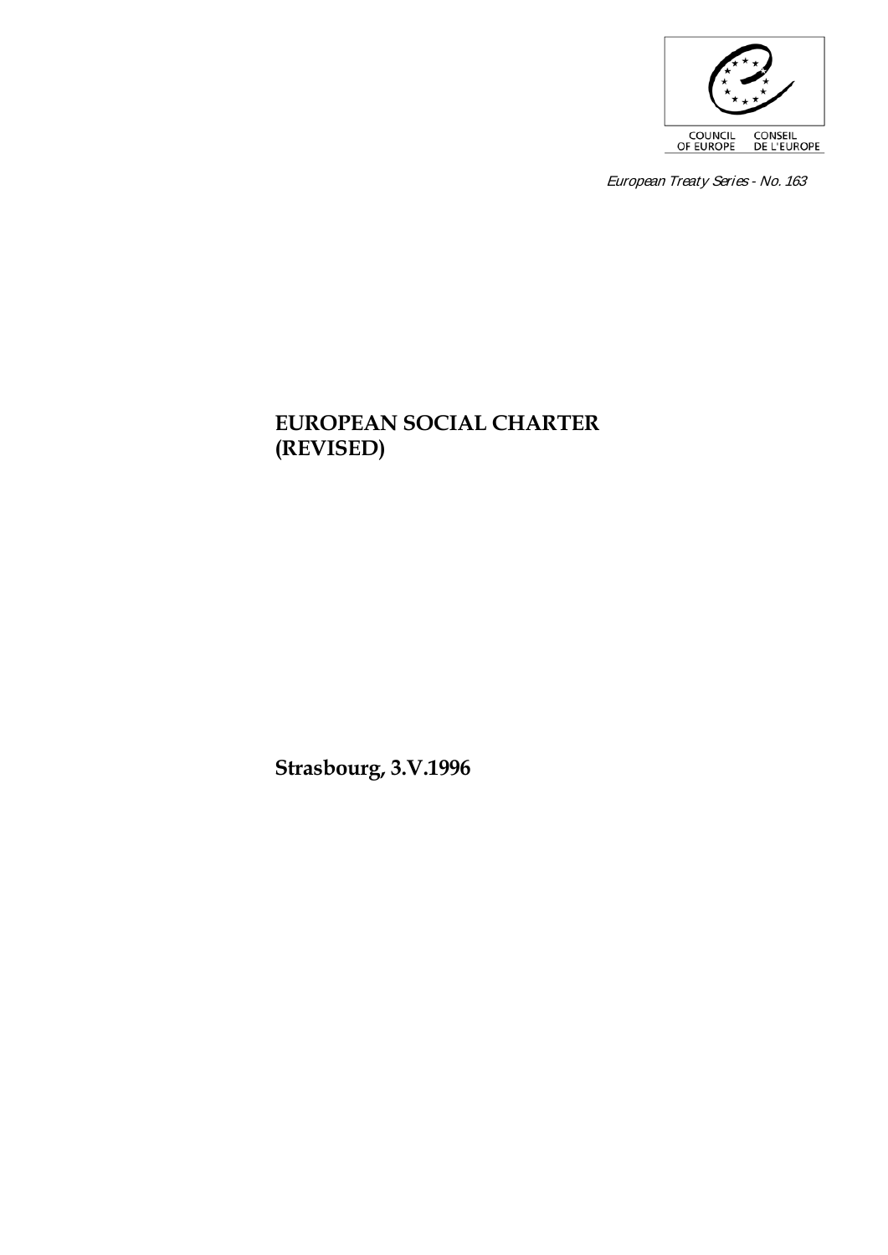

European Treaty Series - No. 163

# **EUROPEAN SOCIAL CHARTER (REVISED)**

**Strasbourg, 3.V.1996**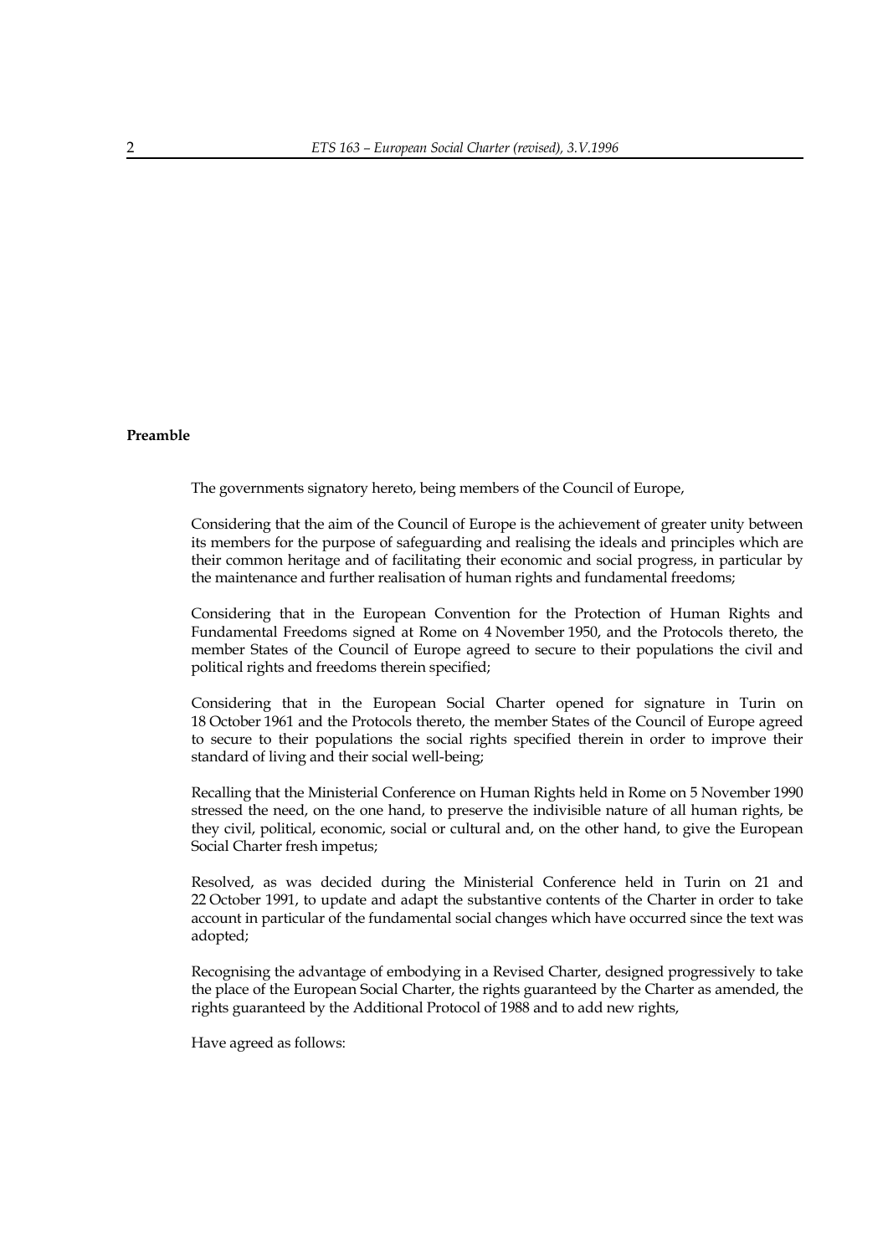#### **Preamble**

The governments signatory hereto, being members of the Council of Europe,

Considering that the aim of the Council of Europe is the achievement of greater unity between its members for the purpose of safeguarding and realising the ideals and principles which are their common heritage and of facilitating their economic and social progress, in particular by the maintenance and further realisation of human rights and fundamental freedoms;

Considering that in the European Convention for the Protection of Human Rights and Fundamental Freedoms signed at Rome on 4 November 1950, and the Protocols thereto, the member States of the Council of Europe agreed to secure to their populations the civil and political rights and freedoms therein specified;

Considering that in the European Social Charter opened for signature in Turin on 18 October 1961 and the Protocols thereto, the member States of the Council of Europe agreed to secure to their populations the social rights specified therein in order to improve their standard of living and their social well-being;

Recalling that the Ministerial Conference on Human Rights held in Rome on 5 November 1990 stressed the need, on the one hand, to preserve the indivisible nature of all human rights, be they civil, political, economic, social or cultural and, on the other hand, to give the European Social Charter fresh impetus;

Resolved, as was decided during the Ministerial Conference held in Turin on 21 and 22 October 1991, to update and adapt the substantive contents of the Charter in order to take account in particular of the fundamental social changes which have occurred since the text was adopted;

Recognising the advantage of embodying in a Revised Charter, designed progressively to take the place of the European Social Charter, the rights guaranteed by the Charter as amended, the rights guaranteed by the Additional Protocol of 1988 and to add new rights,

Have agreed as follows: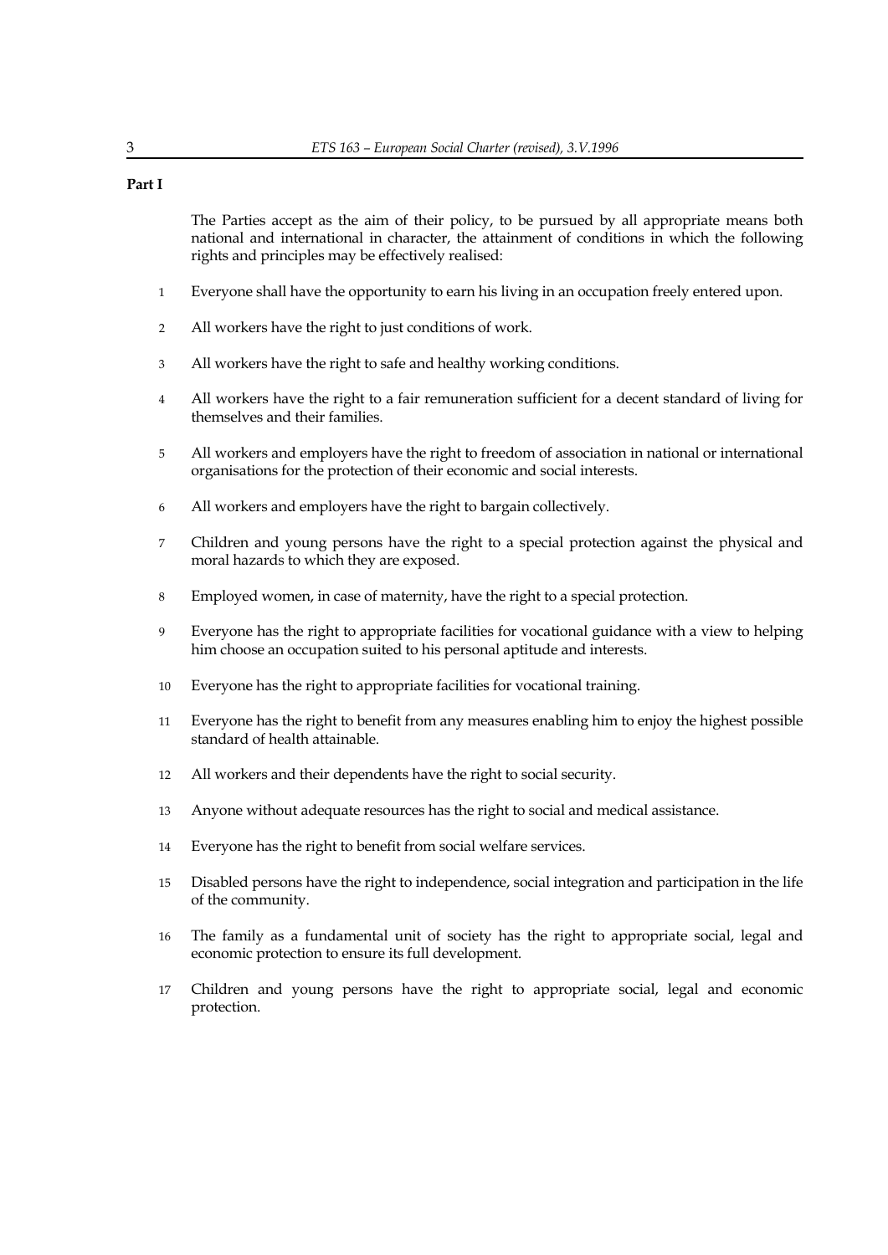# **Part I**

The Parties accept as the aim of their policy, to be pursued by all appropriate means both national and international in character, the attainment of conditions in which the following rights and principles may be effectively realised:

- 1 Everyone shall have the opportunity to earn his living in an occupation freely entered upon.
- 2 All workers have the right to just conditions of work.
- 3 All workers have the right to safe and healthy working conditions.
- 4 All workers have the right to a fair remuneration sufficient for a decent standard of living for themselves and their families.
- 5 All workers and employers have the right to freedom of association in national or international organisations for the protection of their economic and social interests.
- 6 All workers and employers have the right to bargain collectively.
- 7 Children and young persons have the right to a special protection against the physical and moral hazards to which they are exposed.
- 8 Employed women, in case of maternity, have the right to a special protection.
- 9 Everyone has the right to appropriate facilities for vocational guidance with a view to helping him choose an occupation suited to his personal aptitude and interests.
- 10 Everyone has the right to appropriate facilities for vocational training.
- 11 Everyone has the right to benefit from any measures enabling him to enjoy the highest possible standard of health attainable.
- 12 All workers and their dependents have the right to social security.
- 13 Anyone without adequate resources has the right to social and medical assistance.
- 14 Everyone has the right to benefit from social welfare services.
- 15 Disabled persons have the right to independence, social integration and participation in the life of the community.
- 16 The family as a fundamental unit of society has the right to appropriate social, legal and economic protection to ensure its full development.
- 17 Children and young persons have the right to appropriate social, legal and economic protection.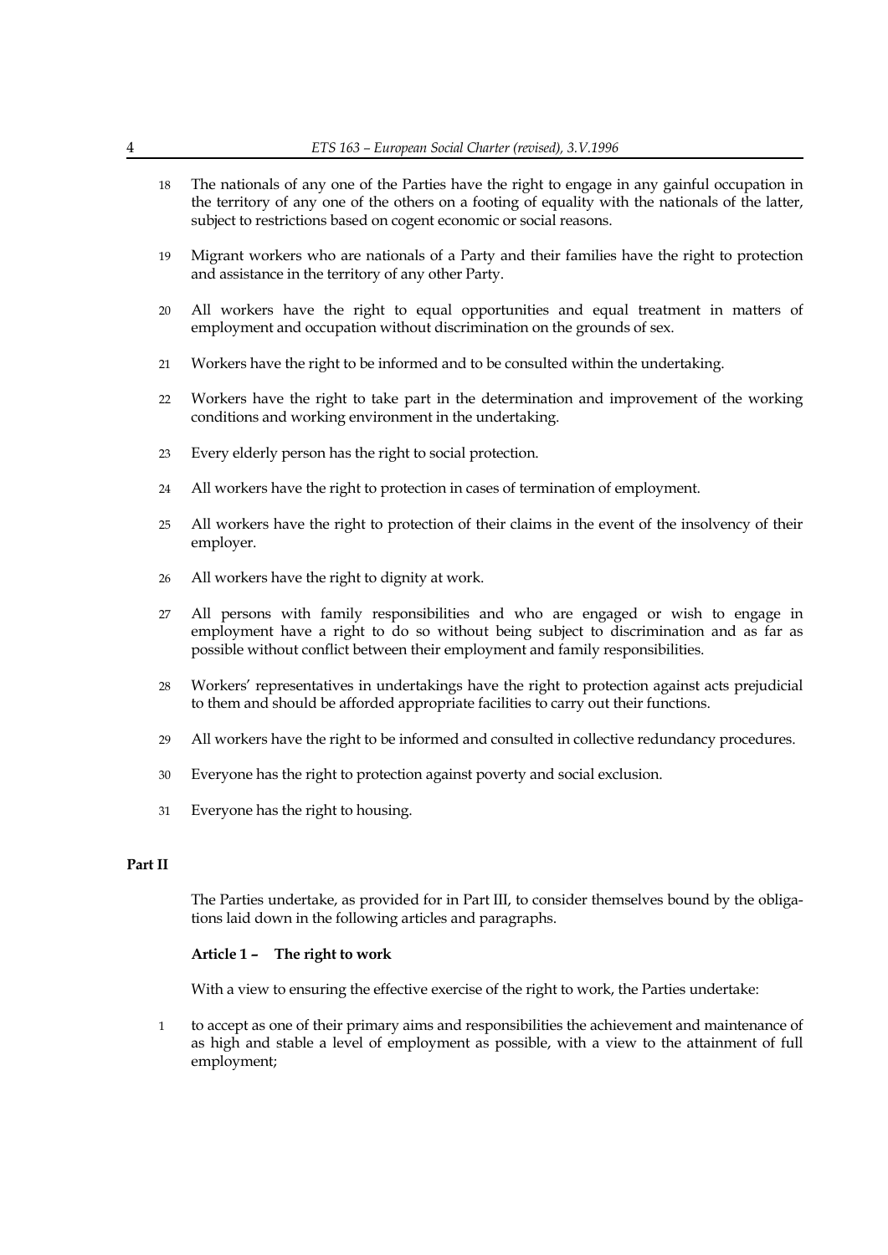- 18 The nationals of any one of the Parties have the right to engage in any gainful occupation in the territory of any one of the others on a footing of equality with the nationals of the latter, subject to restrictions based on cogent economic or social reasons.
- 19 Migrant workers who are nationals of a Party and their families have the right to protection and assistance in the territory of any other Party.
- 20 All workers have the right to equal opportunities and equal treatment in matters of employment and occupation without discrimination on the grounds of sex.
- 21 Workers have the right to be informed and to be consulted within the undertaking.
- 22 Workers have the right to take part in the determination and improvement of the working conditions and working environment in the undertaking.
- 23 Every elderly person has the right to social protection.
- 24 All workers have the right to protection in cases of termination of employment.
- 25 All workers have the right to protection of their claims in the event of the insolvency of their employer.
- 26 All workers have the right to dignity at work.
- 27 All persons with family responsibilities and who are engaged or wish to engage in employment have a right to do so without being subject to discrimination and as far as possible without conflict between their employment and family responsibilities.
- 28 Workers' representatives in undertakings have the right to protection against acts prejudicial to them and should be afforded appropriate facilities to carry out their functions.
- 29 All workers have the right to be informed and consulted in collective redundancy procedures.
- 30 Everyone has the right to protection against poverty and social exclusion.
- 31 Everyone has the right to housing.

## **Part II**

The Parties undertake, as provided for in Part III, to consider themselves bound by the obligations laid down in the following articles and paragraphs.

# **Article 1 – The right to work**

With a view to ensuring the effective exercise of the right to work, the Parties undertake:

1 to accept as one of their primary aims and responsibilities the achievement and maintenance of as high and stable a level of employment as possible, with a view to the attainment of full employment;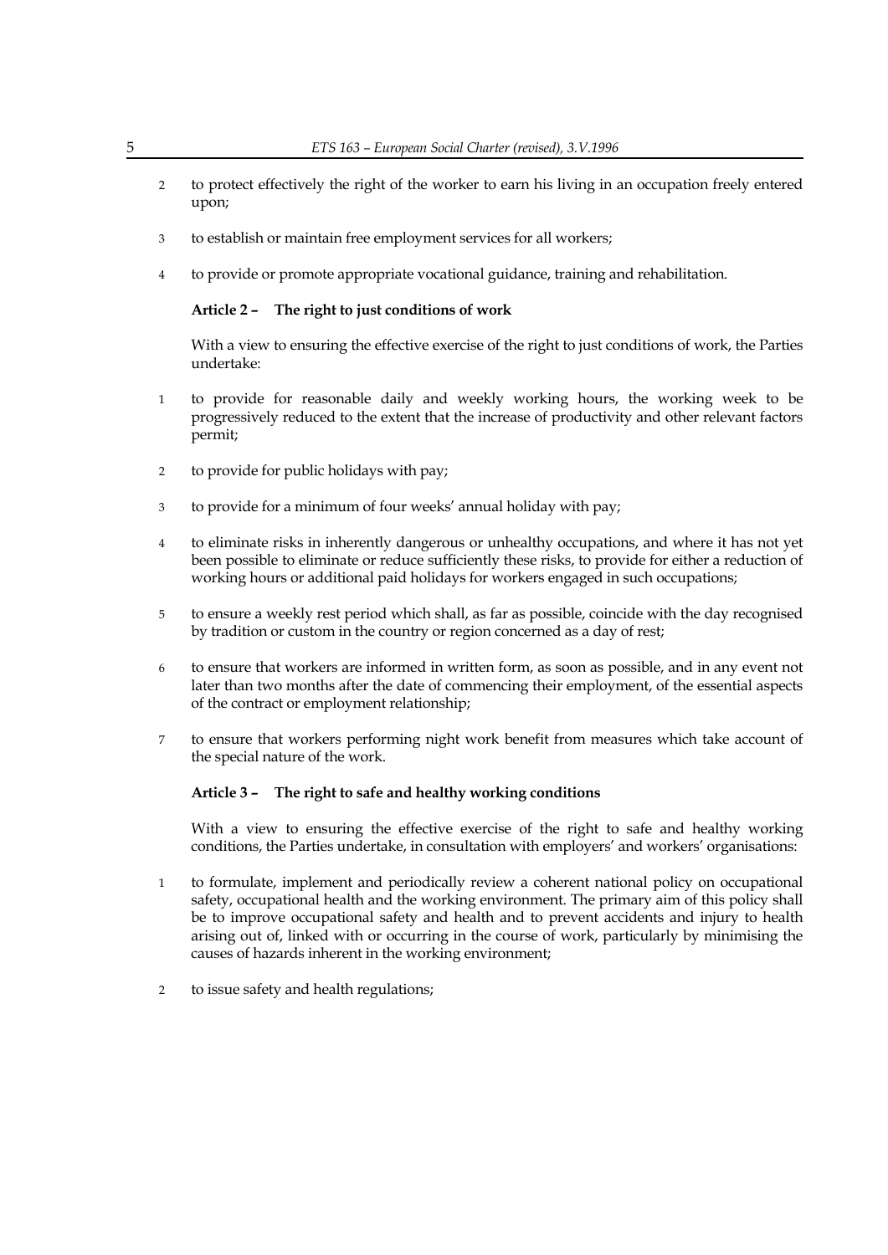- 2 to protect effectively the right of the worker to earn his living in an occupation freely entered upon;
- 3 to establish or maintain free employment services for all workers;
- 4 to provide or promote appropriate vocational guidance, training and rehabilitation.

## **Article 2 – The right to just conditions of work**

With a view to ensuring the effective exercise of the right to just conditions of work, the Parties undertake:

- 1 to provide for reasonable daily and weekly working hours, the working week to be progressively reduced to the extent that the increase of productivity and other relevant factors permit;
- 2 to provide for public holidays with pay;
- 3 to provide for a minimum of four weeks' annual holiday with pay;
- 4 to eliminate risks in inherently dangerous or unhealthy occupations, and where it has not yet been possible to eliminate or reduce sufficiently these risks, to provide for either a reduction of working hours or additional paid holidays for workers engaged in such occupations;
- 5 to ensure a weekly rest period which shall, as far as possible, coincide with the day recognised by tradition or custom in the country or region concerned as a day of rest;
- 6 to ensure that workers are informed in written form, as soon as possible, and in any event not later than two months after the date of commencing their employment, of the essential aspects of the contract or employment relationship;
- 7 to ensure that workers performing night work benefit from measures which take account of the special nature of the work.

## **Article 3 – The right to safe and healthy working conditions**

With a view to ensuring the effective exercise of the right to safe and healthy working conditions, the Parties undertake, in consultation with employers' and workers' organisations:

- 1 to formulate, implement and periodically review a coherent national policy on occupational safety, occupational health and the working environment. The primary aim of this policy shall be to improve occupational safety and health and to prevent accidents and injury to health arising out of, linked with or occurring in the course of work, particularly by minimising the causes of hazards inherent in the working environment;
- 2 to issue safety and health regulations;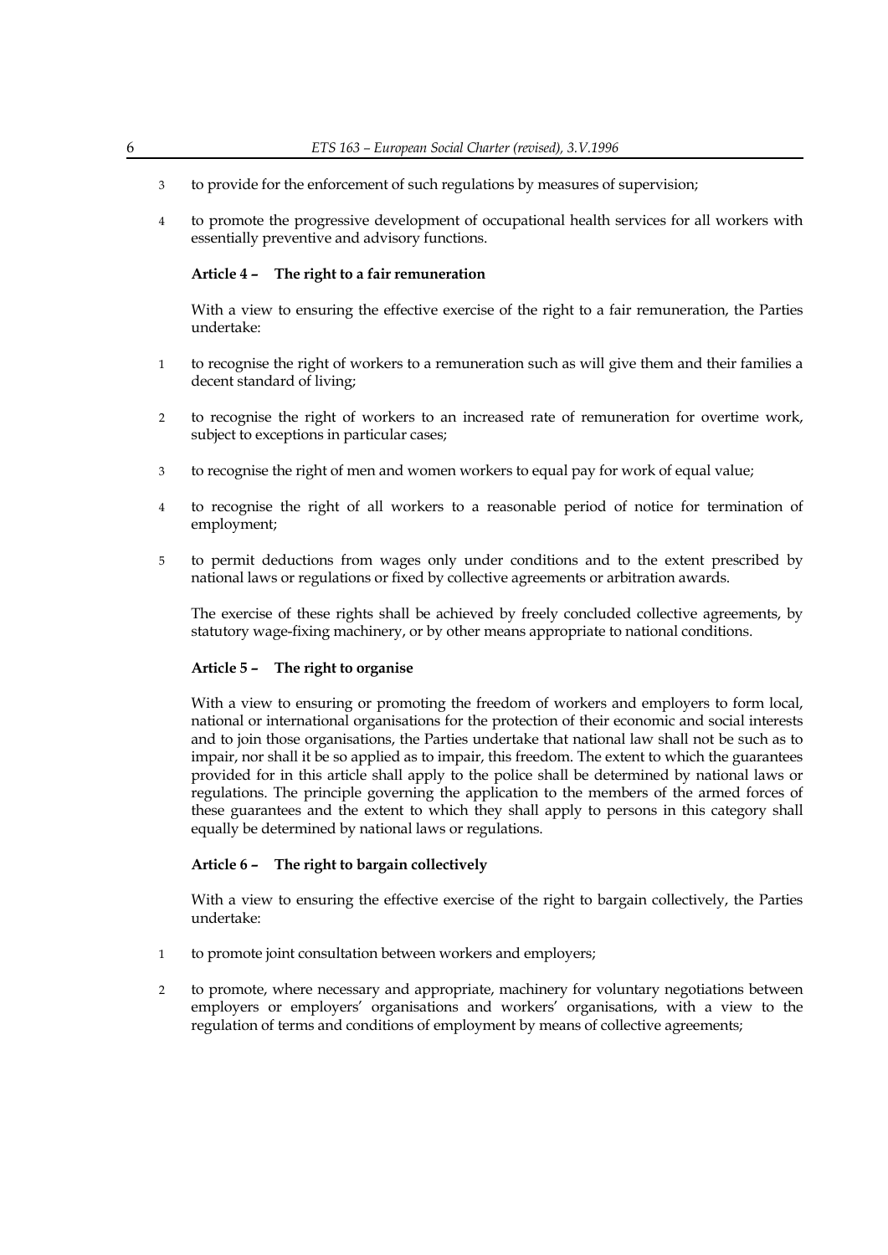- 3 to provide for the enforcement of such regulations by measures of supervision;
- 4 to promote the progressive development of occupational health services for all workers with essentially preventive and advisory functions.

#### **Article 4 – The right to a fair remuneration**

With a view to ensuring the effective exercise of the right to a fair remuneration, the Parties undertake:

- 1 to recognise the right of workers to a remuneration such as will give them and their families a decent standard of living;
- 2 to recognise the right of workers to an increased rate of remuneration for overtime work, subject to exceptions in particular cases;
- 3 to recognise the right of men and women workers to equal pay for work of equal value;
- 4 to recognise the right of all workers to a reasonable period of notice for termination of employment;
- 5 to permit deductions from wages only under conditions and to the extent prescribed by national laws or regulations or fixed by collective agreements or arbitration awards.

The exercise of these rights shall be achieved by freely concluded collective agreements, by statutory wage-fixing machinery, or by other means appropriate to national conditions.

## **Article 5 – The right to organise**

With a view to ensuring or promoting the freedom of workers and employers to form local, national or international organisations for the protection of their economic and social interests and to join those organisations, the Parties undertake that national law shall not be such as to impair, nor shall it be so applied as to impair, this freedom. The extent to which the guarantees provided for in this article shall apply to the police shall be determined by national laws or regulations. The principle governing the application to the members of the armed forces of these guarantees and the extent to which they shall apply to persons in this category shall equally be determined by national laws or regulations.

## **Article 6 – The right to bargain collectively**

With a view to ensuring the effective exercise of the right to bargain collectively, the Parties undertake:

- 1 to promote joint consultation between workers and employers;
- 2 to promote, where necessary and appropriate, machinery for voluntary negotiations between employers or employers' organisations and workers' organisations, with a view to the regulation of terms and conditions of employment by means of collective agreements;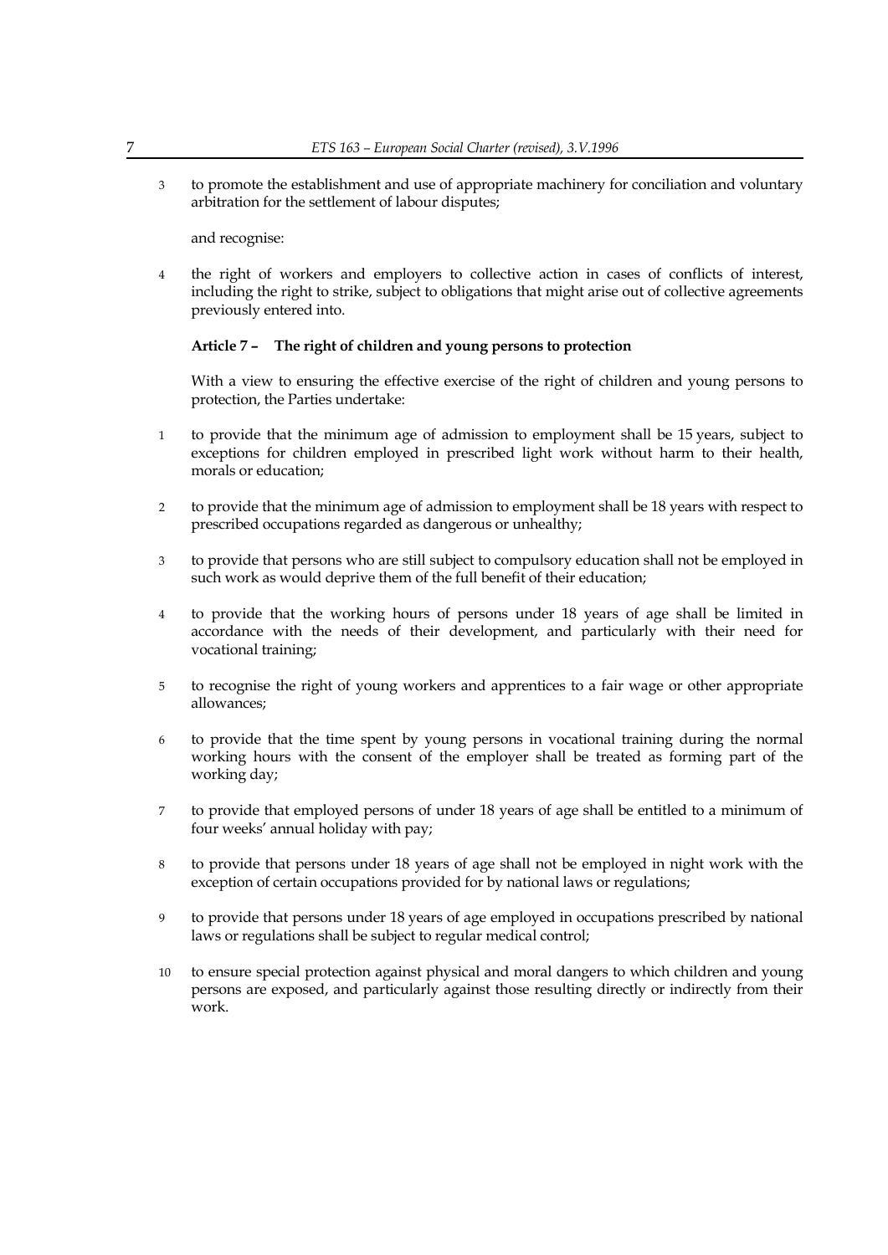3 to promote the establishment and use of appropriate machinery for conciliation and voluntary arbitration for the settlement of labour disputes;

and recognise:

4 the right of workers and employers to collective action in cases of conflicts of interest, including the right to strike, subject to obligations that might arise out of collective agreements previously entered into.

## **Article 7 – The right of children and young persons to protection**

With a view to ensuring the effective exercise of the right of children and young persons to protection, the Parties undertake:

- 1 to provide that the minimum age of admission to employment shall be 15 years, subject to exceptions for children employed in prescribed light work without harm to their health, morals or education;
- 2 to provide that the minimum age of admission to employment shall be 18 years with respect to prescribed occupations regarded as dangerous or unhealthy;
- 3 to provide that persons who are still subject to compulsory education shall not be employed in such work as would deprive them of the full benefit of their education;
- 4 to provide that the working hours of persons under 18 years of age shall be limited in accordance with the needs of their development, and particularly with their need for vocational training;
- 5 to recognise the right of young workers and apprentices to a fair wage or other appropriate allowances;
- 6 to provide that the time spent by young persons in vocational training during the normal working hours with the consent of the employer shall be treated as forming part of the working day;
- 7 to provide that employed persons of under 18 years of age shall be entitled to a minimum of four weeks' annual holiday with pay;
- 8 to provide that persons under 18 years of age shall not be employed in night work with the exception of certain occupations provided for by national laws or regulations;
- 9 to provide that persons under 18 years of age employed in occupations prescribed by national laws or regulations shall be subject to regular medical control;
- 10 to ensure special protection against physical and moral dangers to which children and young persons are exposed, and particularly against those resulting directly or indirectly from their work.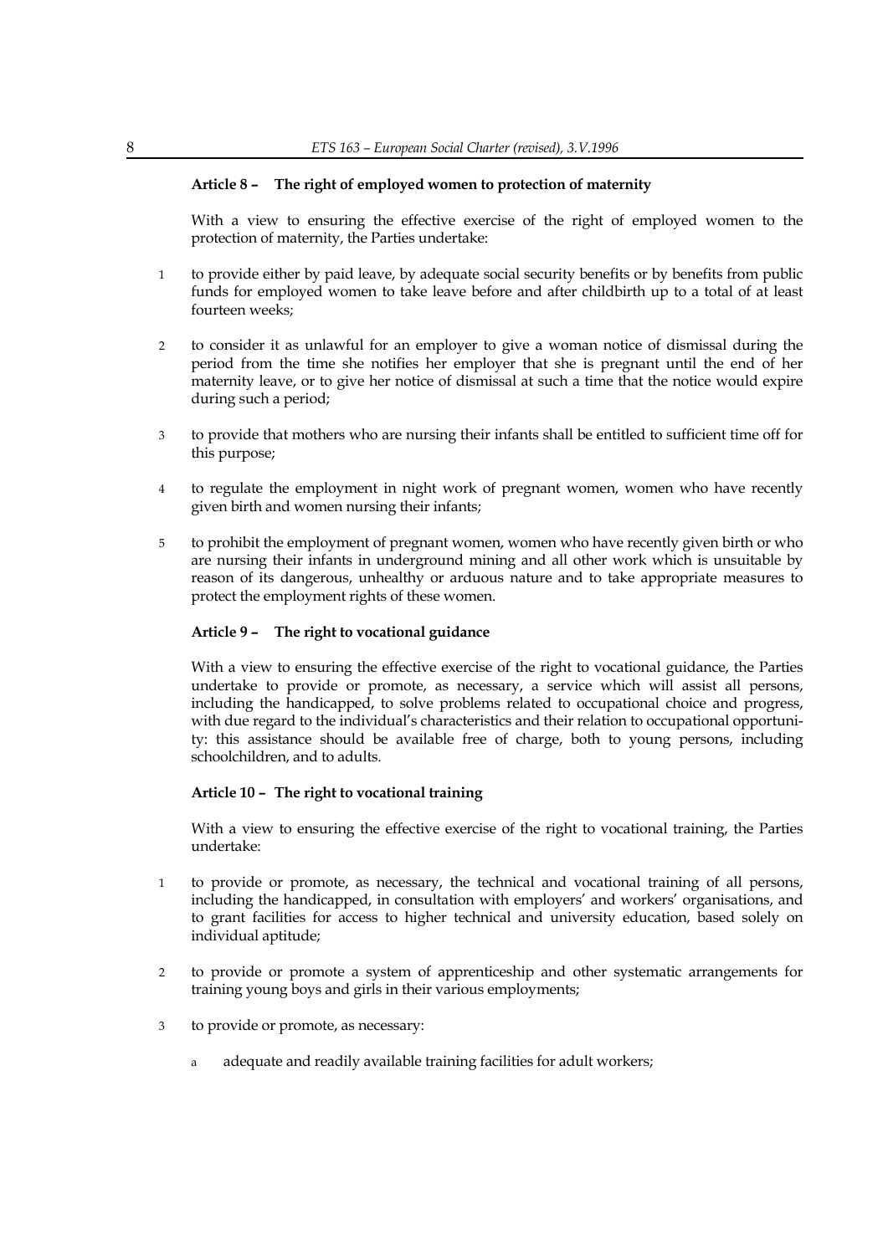## **Article 8 – The right of employed women to protection of maternity**

With a view to ensuring the effective exercise of the right of employed women to the protection of maternity, the Parties undertake:

- 1 to provide either by paid leave, by adequate social security benefits or by benefits from public funds for employed women to take leave before and after childbirth up to a total of at least fourteen weeks;
- 2 to consider it as unlawful for an employer to give a woman notice of dismissal during the period from the time she notifies her employer that she is pregnant until the end of her maternity leave, or to give her notice of dismissal at such a time that the notice would expire during such a period;
- 3 to provide that mothers who are nursing their infants shall be entitled to sufficient time off for this purpose;
- 4 to regulate the employment in night work of pregnant women, women who have recently given birth and women nursing their infants;
- 5 to prohibit the employment of pregnant women, women who have recently given birth or who are nursing their infants in underground mining and all other work which is unsuitable by reason of its dangerous, unhealthy or arduous nature and to take appropriate measures to protect the employment rights of these women.

# **Article 9 – The right to vocational guidance**

With a view to ensuring the effective exercise of the right to vocational guidance, the Parties undertake to provide or promote, as necessary, a service which will assist all persons, including the handicapped, to solve problems related to occupational choice and progress, with due regard to the individual's characteristics and their relation to occupational opportunity: this assistance should be available free of charge, both to young persons, including schoolchildren, and to adults.

## **Article 10 – The right to vocational training**

With a view to ensuring the effective exercise of the right to vocational training, the Parties undertake:

- 1 to provide or promote, as necessary, the technical and vocational training of all persons, including the handicapped, in consultation with employers' and workers' organisations, and to grant facilities for access to higher technical and university education, based solely on individual aptitude;
- 2 to provide or promote a system of apprenticeship and other systematic arrangements for training young boys and girls in their various employments;
- 3 to provide or promote, as necessary:
	- a adequate and readily available training facilities for adult workers;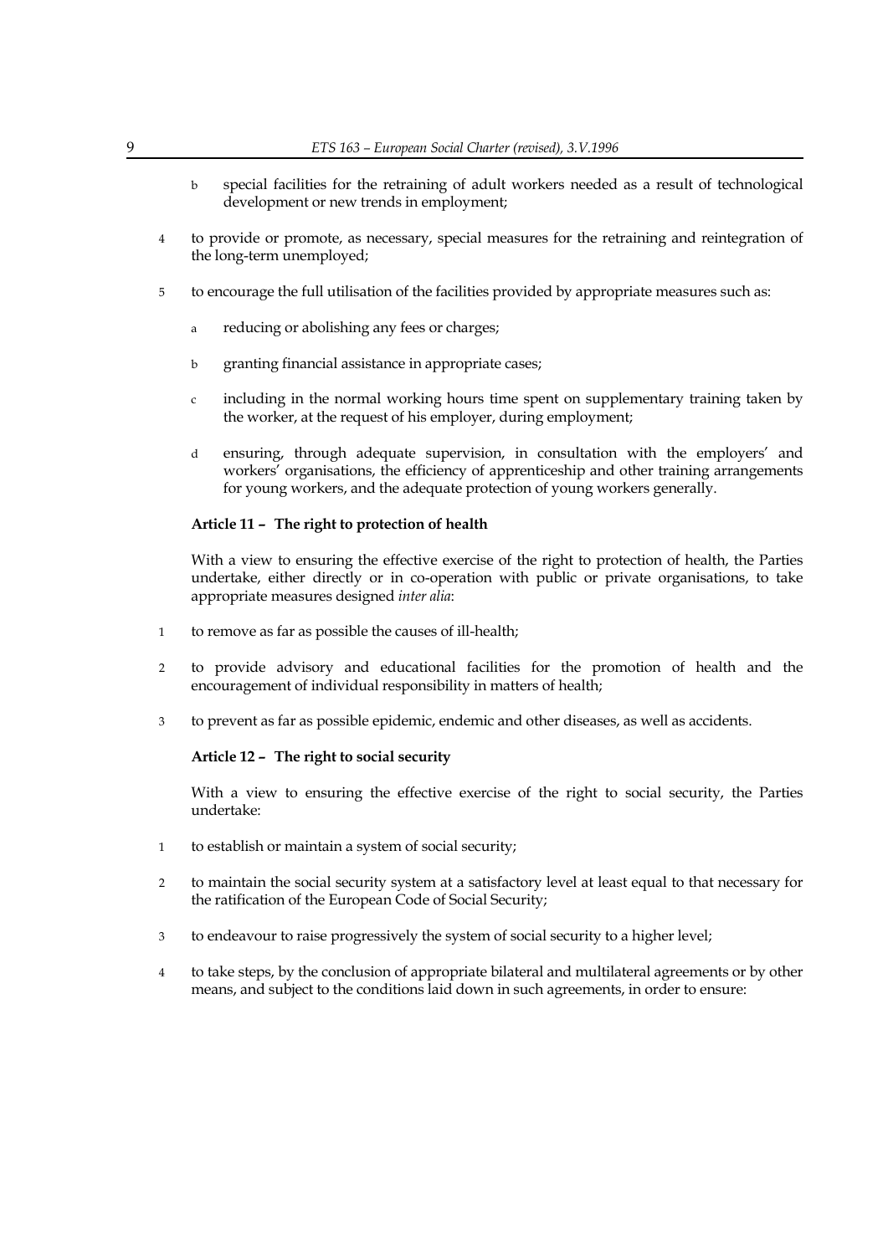- b special facilities for the retraining of adult workers needed as a result of technological development or new trends in employment;
- 4 to provide or promote, as necessary, special measures for the retraining and reintegration of the long-term unemployed;
- 5 to encourage the full utilisation of the facilities provided by appropriate measures such as:
	- a reducing or abolishing any fees or charges;
	- b granting financial assistance in appropriate cases;
	- c including in the normal working hours time spent on supplementary training taken by the worker, at the request of his employer, during employment;
	- d ensuring, through adequate supervision, in consultation with the employers' and workers' organisations, the efficiency of apprenticeship and other training arrangements for young workers, and the adequate protection of young workers generally.

## **Article 11 – The right to protection of health**

With a view to ensuring the effective exercise of the right to protection of health, the Parties undertake, either directly or in co-operation with public or private organisations, to take appropriate measures designed *inter alia*:

- 1 to remove as far as possible the causes of ill-health;
- 2 to provide advisory and educational facilities for the promotion of health and the encouragement of individual responsibility in matters of health;
- 3 to prevent as far as possible epidemic, endemic and other diseases, as well as accidents.

# **Article 12 – The right to social security**

With a view to ensuring the effective exercise of the right to social security, the Parties undertake:

- 1 to establish or maintain a system of social security;
- 2 to maintain the social security system at a satisfactory level at least equal to that necessary for the ratification of the European Code of Social Security;
- 3 to endeavour to raise progressively the system of social security to a higher level;
- 4 to take steps, by the conclusion of appropriate bilateral and multilateral agreements or by other means, and subject to the conditions laid down in such agreements, in order to ensure: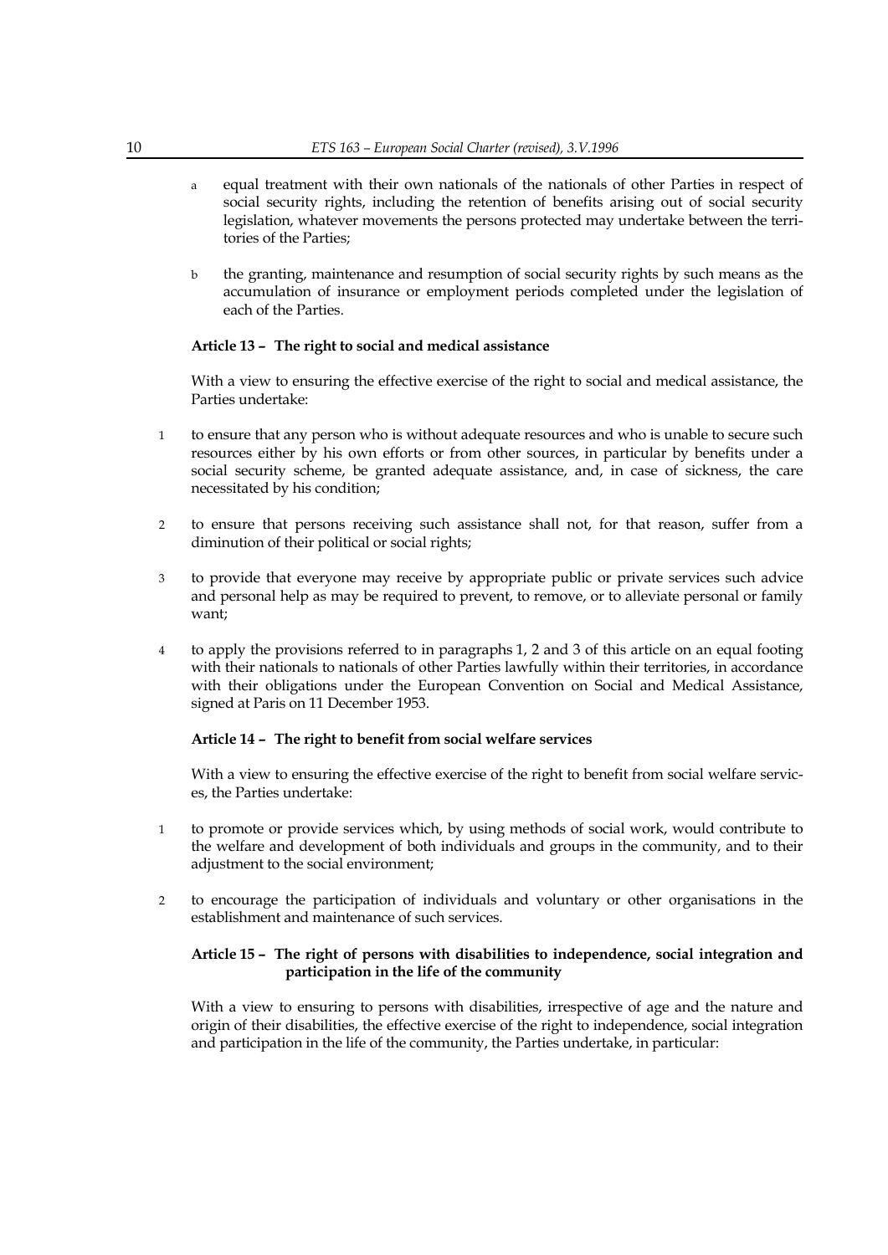- a equal treatment with their own nationals of the nationals of other Parties in respect of social security rights, including the retention of benefits arising out of social security legislation, whatever movements the persons protected may undertake between the territories of the Parties;
- b the granting, maintenance and resumption of social security rights by such means as the accumulation of insurance or employment periods completed under the legislation of each of the Parties.

## **Article 13 – The right to social and medical assistance**

With a view to ensuring the effective exercise of the right to social and medical assistance, the Parties undertake:

- 1 to ensure that any person who is without adequate resources and who is unable to secure such resources either by his own efforts or from other sources, in particular by benefits under a social security scheme, be granted adequate assistance, and, in case of sickness, the care necessitated by his condition;
- 2 to ensure that persons receiving such assistance shall not, for that reason, suffer from a diminution of their political or social rights;
- 3 to provide that everyone may receive by appropriate public or private services such advice and personal help as may be required to prevent, to remove, or to alleviate personal or family want;
- 4 to apply the provisions referred to in paragraphs 1, 2 and 3 of this article on an equal footing with their nationals to nationals of other Parties lawfully within their territories, in accordance with their obligations under the European Convention on Social and Medical Assistance, signed at Paris on 11 December 1953.

#### **Article 14 – The right to benefit from social welfare services**

With a view to ensuring the effective exercise of the right to benefit from social welfare services, the Parties undertake:

- 1 to promote or provide services which, by using methods of social work, would contribute to the welfare and development of both individuals and groups in the community, and to their adjustment to the social environment;
- 2 to encourage the participation of individuals and voluntary or other organisations in the establishment and maintenance of such services.

# **Article 15 – The right of persons with disabilities to independence, social integration and participation in the life of the community**

With a view to ensuring to persons with disabilities, irrespective of age and the nature and origin of their disabilities, the effective exercise of the right to independence, social integration and participation in the life of the community, the Parties undertake, in particular: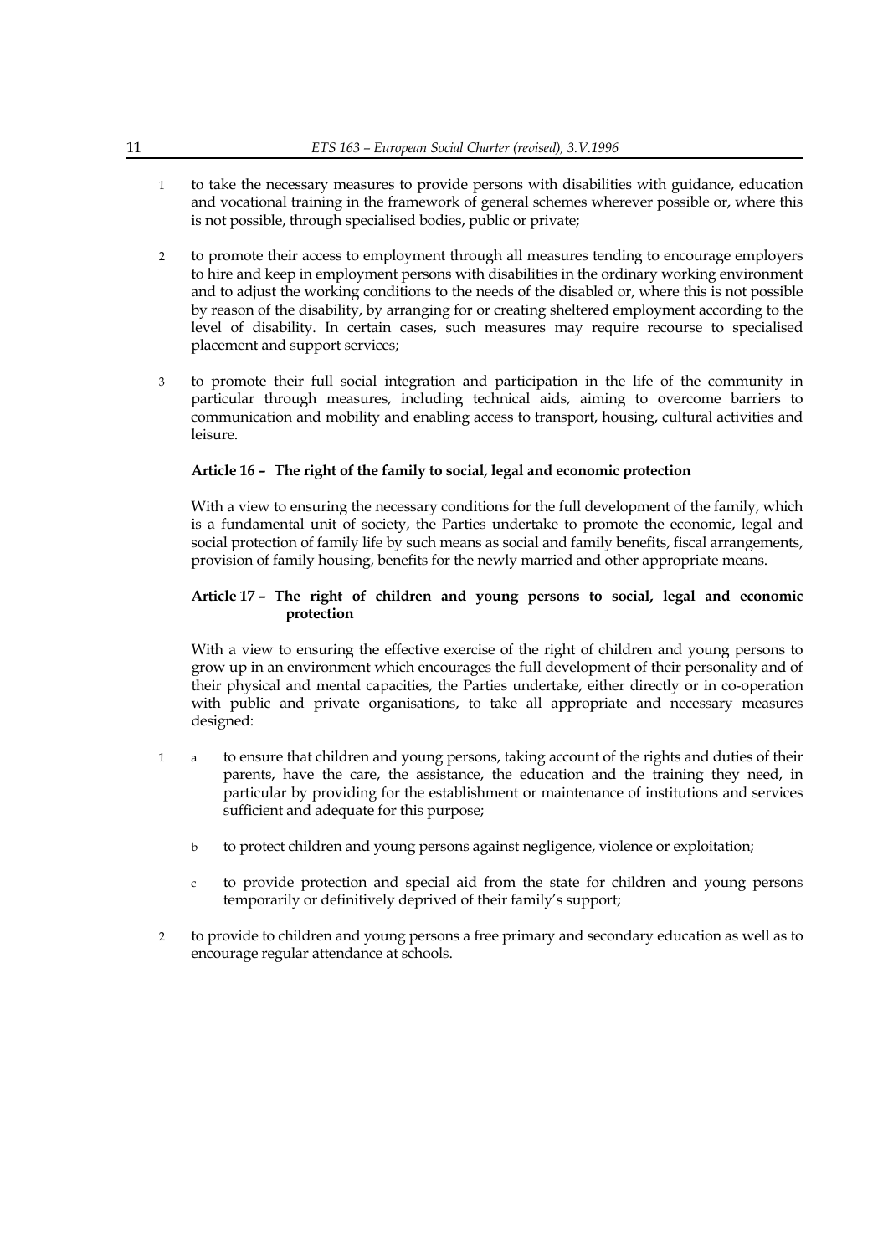- 1 to take the necessary measures to provide persons with disabilities with guidance, education and vocational training in the framework of general schemes wherever possible or, where this is not possible, through specialised bodies, public or private;
- 2 to promote their access to employment through all measures tending to encourage employers to hire and keep in employment persons with disabilities in the ordinary working environment and to adjust the working conditions to the needs of the disabled or, where this is not possible by reason of the disability, by arranging for or creating sheltered employment according to the level of disability. In certain cases, such measures may require recourse to specialised placement and support services;
- 3 to promote their full social integration and participation in the life of the community in particular through measures, including technical aids, aiming to overcome barriers to communication and mobility and enabling access to transport, housing, cultural activities and leisure.

## **Article 16 – The right of the family to social, legal and economic protection**

With a view to ensuring the necessary conditions for the full development of the family, which is a fundamental unit of society, the Parties undertake to promote the economic, legal and social protection of family life by such means as social and family benefits, fiscal arrangements, provision of family housing, benefits for the newly married and other appropriate means.

# **Article 17 – The right of children and young persons to social, legal and economic protection**

With a view to ensuring the effective exercise of the right of children and young persons to grow up in an environment which encourages the full development of their personality and of their physical and mental capacities, the Parties undertake, either directly or in co-operation with public and private organisations, to take all appropriate and necessary measures designed:

- 1 a to ensure that children and young persons, taking account of the rights and duties of their parents, have the care, the assistance, the education and the training they need, in particular by providing for the establishment or maintenance of institutions and services sufficient and adequate for this purpose;
	- b to protect children and young persons against negligence, violence or exploitation;
	- c to provide protection and special aid from the state for children and young persons temporarily or definitively deprived of their family's support;
- 2 to provide to children and young persons a free primary and secondary education as well as to encourage regular attendance at schools.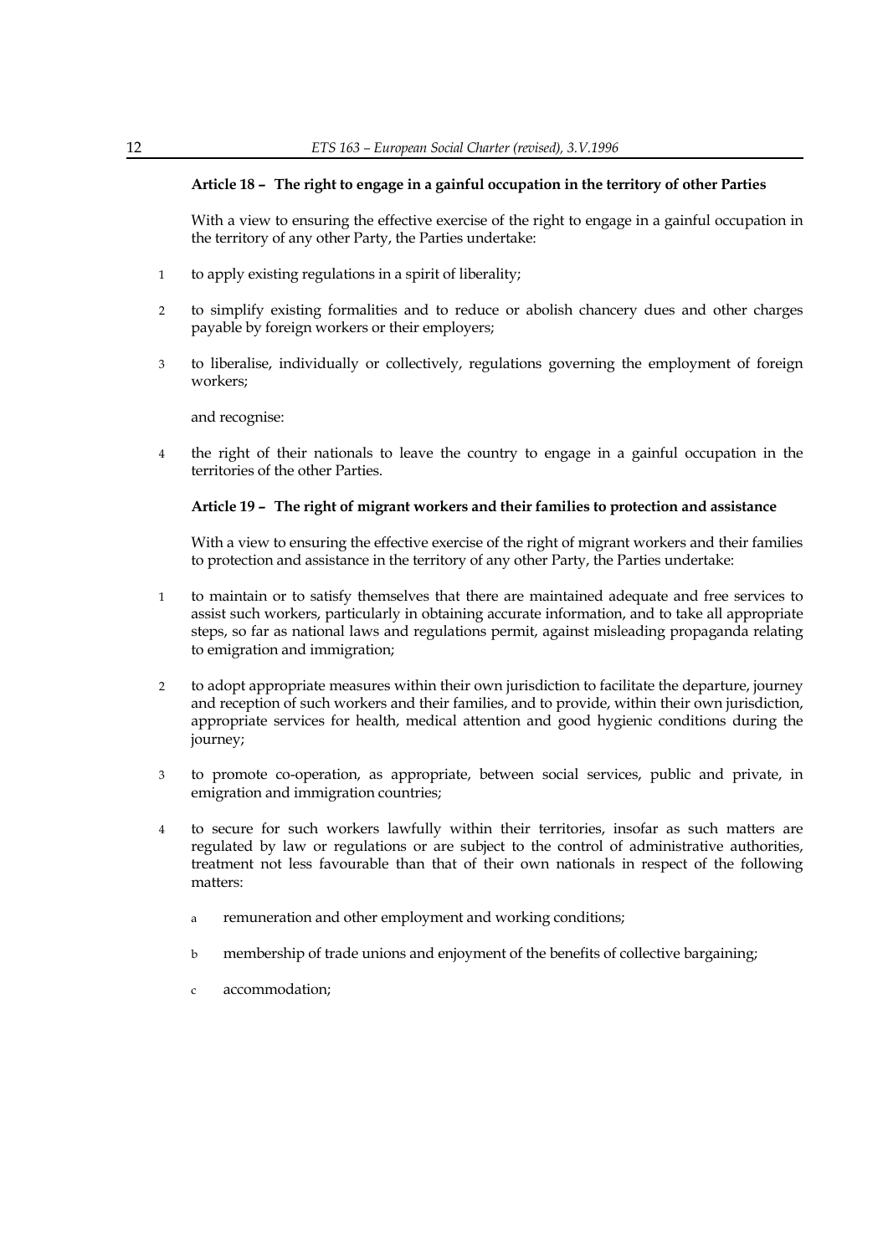## **Article 18 – The right to engage in a gainful occupation in the territory of other Parties**

With a view to ensuring the effective exercise of the right to engage in a gainful occupation in the territory of any other Party, the Parties undertake:

- 1 to apply existing regulations in a spirit of liberality;
- 2 to simplify existing formalities and to reduce or abolish chancery dues and other charges payable by foreign workers or their employers;
- 3 to liberalise, individually or collectively, regulations governing the employment of foreign workers;

and recognise:

4 the right of their nationals to leave the country to engage in a gainful occupation in the territories of the other Parties.

## **Article 19 – The right of migrant workers and their families to protection and assistance**

With a view to ensuring the effective exercise of the right of migrant workers and their families to protection and assistance in the territory of any other Party, the Parties undertake:

- 1 to maintain or to satisfy themselves that there are maintained adequate and free services to assist such workers, particularly in obtaining accurate information, and to take all appropriate steps, so far as national laws and regulations permit, against misleading propaganda relating to emigration and immigration;
- 2 to adopt appropriate measures within their own jurisdiction to facilitate the departure, journey and reception of such workers and their families, and to provide, within their own jurisdiction, appropriate services for health, medical attention and good hygienic conditions during the journey;
- 3 to promote co-operation, as appropriate, between social services, public and private, in emigration and immigration countries;
- 4 to secure for such workers lawfully within their territories, insofar as such matters are regulated by law or regulations or are subject to the control of administrative authorities, treatment not less favourable than that of their own nationals in respect of the following matters:
	- a remuneration and other employment and working conditions;
	- b membership of trade unions and enjoyment of the benefits of collective bargaining;
	- c accommodation;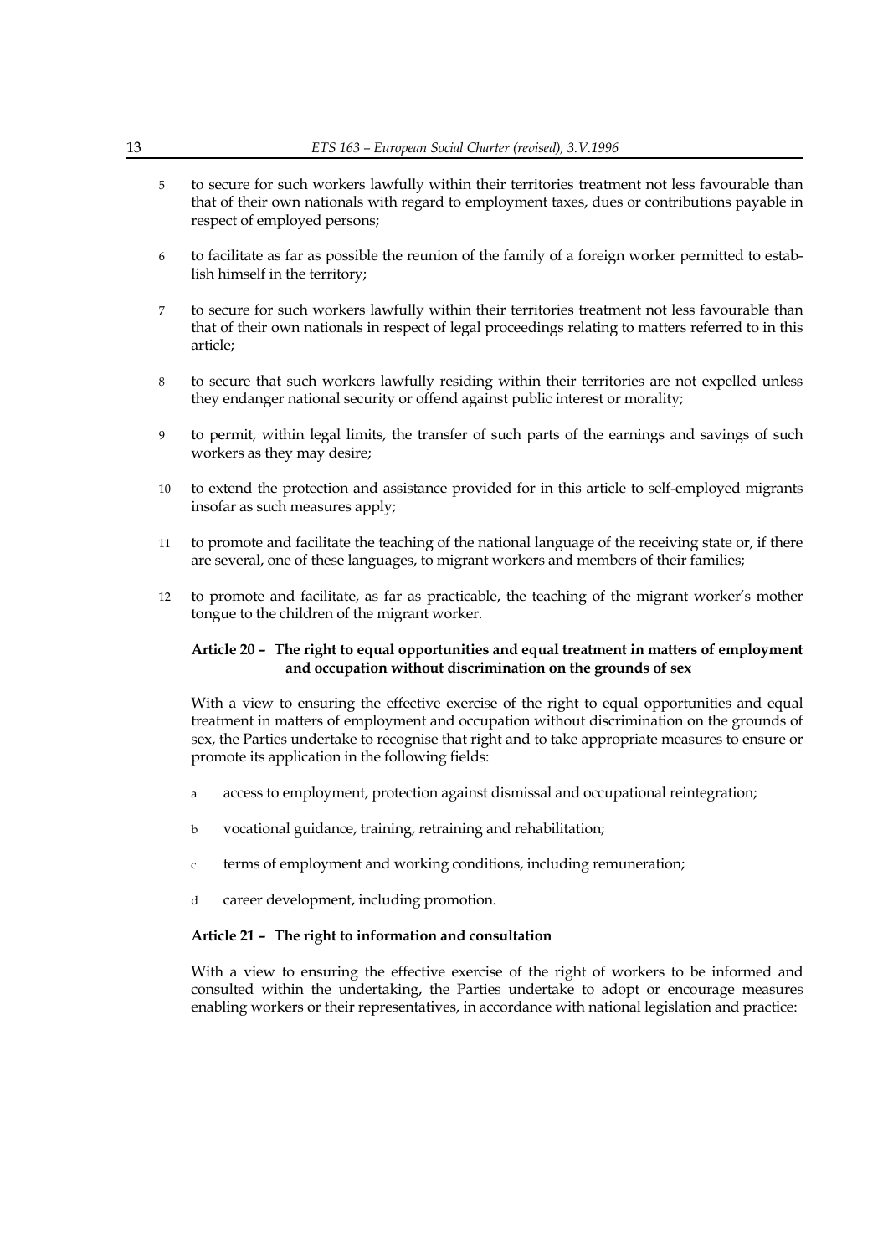- 5 to secure for such workers lawfully within their territories treatment not less favourable than that of their own nationals with regard to employment taxes, dues or contributions payable in respect of employed persons;
- 6 to facilitate as far as possible the reunion of the family of a foreign worker permitted to establish himself in the territory;
- 7 to secure for such workers lawfully within their territories treatment not less favourable than that of their own nationals in respect of legal proceedings relating to matters referred to in this article;
- 8 to secure that such workers lawfully residing within their territories are not expelled unless they endanger national security or offend against public interest or morality;
- 9 to permit, within legal limits, the transfer of such parts of the earnings and savings of such workers as they may desire;
- 10 to extend the protection and assistance provided for in this article to self-employed migrants insofar as such measures apply;
- 11 to promote and facilitate the teaching of the national language of the receiving state or, if there are several, one of these languages, to migrant workers and members of their families;
- 12 to promote and facilitate, as far as practicable, the teaching of the migrant worker's mother tongue to the children of the migrant worker.

# **Article 20 – The right to equal opportunities and equal treatment in matters of employment and occupation without discrimination on the grounds of sex**

With a view to ensuring the effective exercise of the right to equal opportunities and equal treatment in matters of employment and occupation without discrimination on the grounds of sex, the Parties undertake to recognise that right and to take appropriate measures to ensure or promote its application in the following fields:

- a access to employment, protection against dismissal and occupational reintegration;
- b vocational guidance, training, retraining and rehabilitation;
- c terms of employment and working conditions, including remuneration;
- d career development, including promotion.

## **Article 21 – The right to information and consultation**

With a view to ensuring the effective exercise of the right of workers to be informed and consulted within the undertaking, the Parties undertake to adopt or encourage measures enabling workers or their representatives, in accordance with national legislation and practice: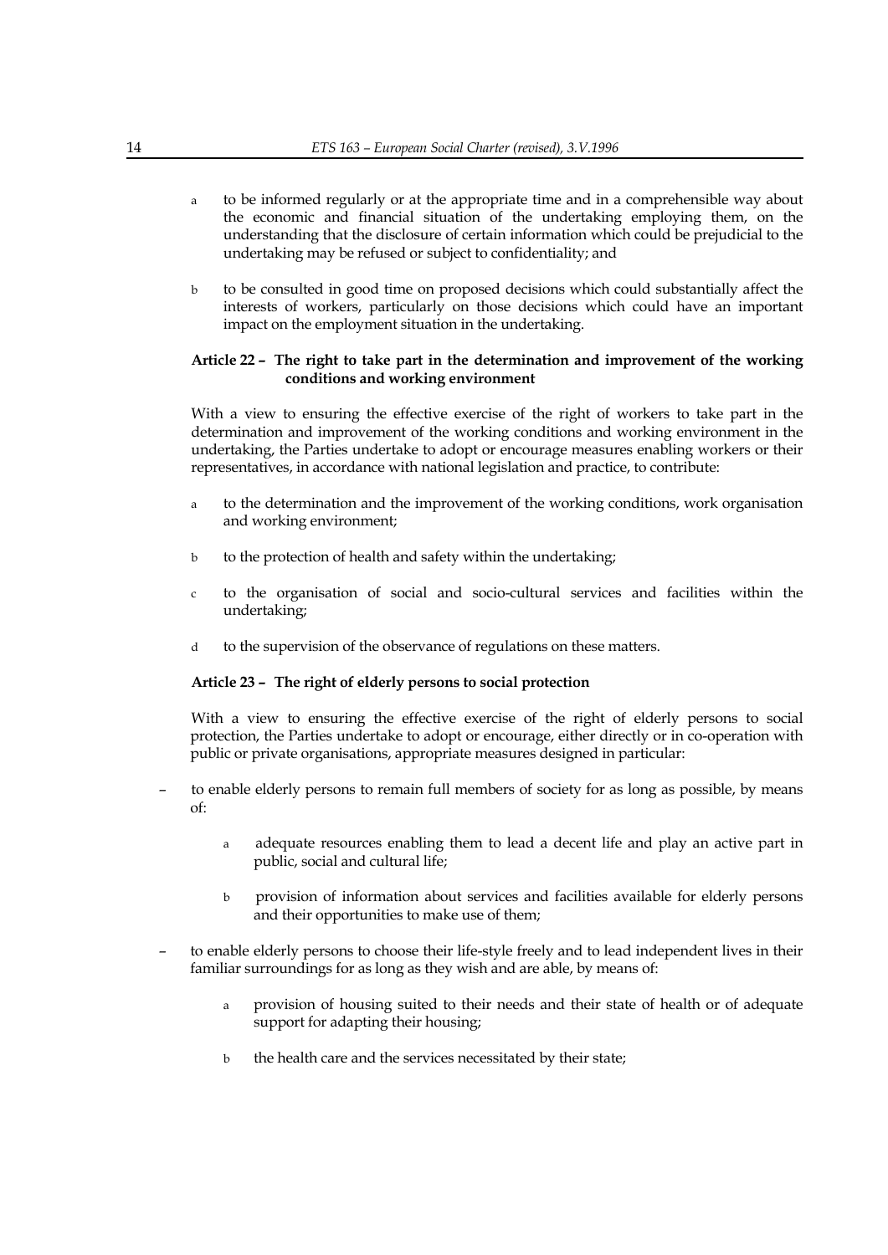- a to be informed regularly or at the appropriate time and in a comprehensible way about the economic and financial situation of the undertaking employing them, on the understanding that the disclosure of certain information which could be prejudicial to the undertaking may be refused or subject to confidentiality; and
- b to be consulted in good time on proposed decisions which could substantially affect the interests of workers, particularly on those decisions which could have an important impact on the employment situation in the undertaking.

# **Article 22 – The right to take part in the determination and improvement of the working conditions and working environment**

With a view to ensuring the effective exercise of the right of workers to take part in the determination and improvement of the working conditions and working environment in the undertaking, the Parties undertake to adopt or encourage measures enabling workers or their representatives, in accordance with national legislation and practice, to contribute:

- a to the determination and the improvement of the working conditions, work organisation and working environment;
- b to the protection of health and safety within the undertaking;
- c to the organisation of social and socio-cultural services and facilities within the undertaking;
- d to the supervision of the observance of regulations on these matters.

# **Article 23 – The right of elderly persons to social protection**

With a view to ensuring the effective exercise of the right of elderly persons to social protection, the Parties undertake to adopt or encourage, either directly or in co-operation with public or private organisations, appropriate measures designed in particular:

- to enable elderly persons to remain full members of society for as long as possible, by means of:
	- a adequate resources enabling them to lead a decent life and play an active part in public, social and cultural life;
	- b provision of information about services and facilities available for elderly persons and their opportunities to make use of them;
- to enable elderly persons to choose their life-style freely and to lead independent lives in their familiar surroundings for as long as they wish and are able, by means of:
	- a provision of housing suited to their needs and their state of health or of adequate support for adapting their housing;
	- b the health care and the services necessitated by their state;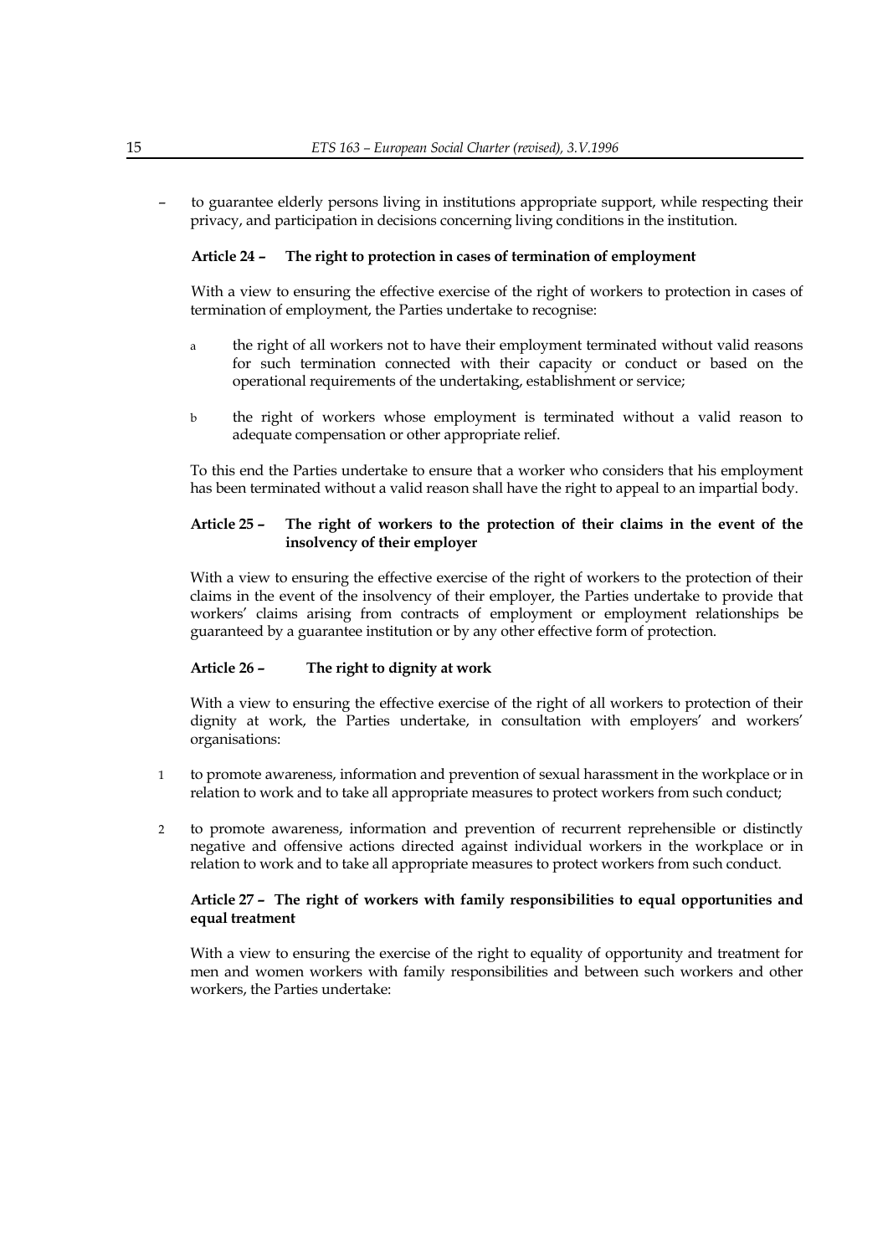– to guarantee elderly persons living in institutions appropriate support, while respecting their privacy, and participation in decisions concerning living conditions in the institution.

## **Article 24 – The right to protection in cases of termination of employment**

With a view to ensuring the effective exercise of the right of workers to protection in cases of termination of employment, the Parties undertake to recognise:

- a the right of all workers not to have their employment terminated without valid reasons for such termination connected with their capacity or conduct or based on the operational requirements of the undertaking, establishment or service;
- b the right of workers whose employment is terminated without a valid reason to adequate compensation or other appropriate relief.

To this end the Parties undertake to ensure that a worker who considers that his employment has been terminated without a valid reason shall have the right to appeal to an impartial body.

# **Article 25 – The right of workers to the protection of their claims in the event of the insolvency of their employer**

With a view to ensuring the effective exercise of the right of workers to the protection of their claims in the event of the insolvency of their employer, the Parties undertake to provide that workers' claims arising from contracts of employment or employment relationships be guaranteed by a guarantee institution or by any other effective form of protection.

# **Article 26 – The right to dignity at work**

With a view to ensuring the effective exercise of the right of all workers to protection of their dignity at work, the Parties undertake, in consultation with employers' and workers' organisations:

- 1 to promote awareness, information and prevention of sexual harassment in the workplace or in relation to work and to take all appropriate measures to protect workers from such conduct;
- 2 to promote awareness, information and prevention of recurrent reprehensible or distinctly negative and offensive actions directed against individual workers in the workplace or in relation to work and to take all appropriate measures to protect workers from such conduct.

# **Article 27 – The right of workers with family responsibilities to equal opportunities and equal treatment**

With a view to ensuring the exercise of the right to equality of opportunity and treatment for men and women workers with family responsibilities and between such workers and other workers, the Parties undertake: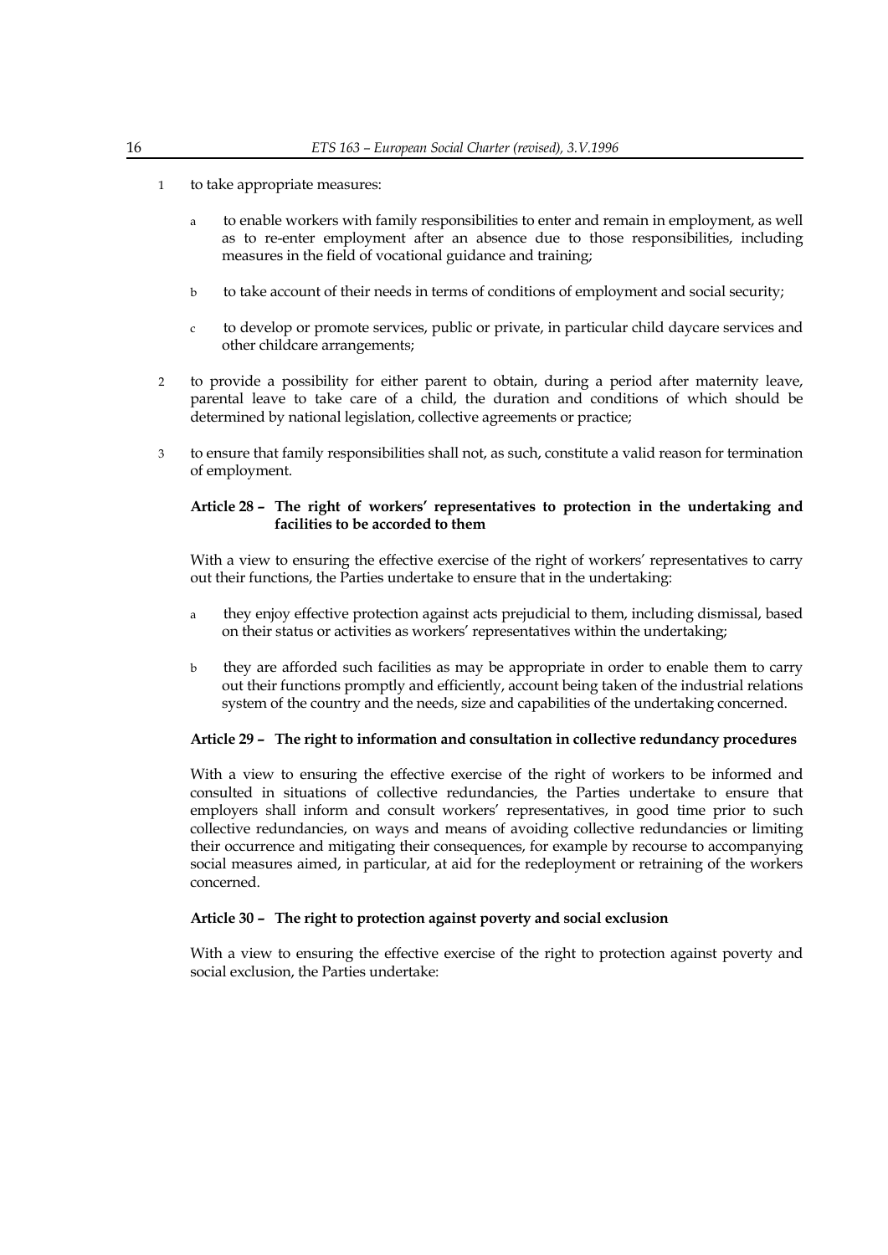- 1 to take appropriate measures:
	- a to enable workers with family responsibilities to enter and remain in employment, as well as to re-enter employment after an absence due to those responsibilities, including measures in the field of vocational guidance and training;
	- b to take account of their needs in terms of conditions of employment and social security;
	- c to develop or promote services, public or private, in particular child daycare services and other childcare arrangements;
- 2 to provide a possibility for either parent to obtain, during a period after maternity leave, parental leave to take care of a child, the duration and conditions of which should be determined by national legislation, collective agreements or practice;
- 3 to ensure that family responsibilities shall not, as such, constitute a valid reason for termination of employment.

## **Article 28 – The right of workers' representatives to protection in the undertaking and facilities to be accorded to them**

With a view to ensuring the effective exercise of the right of workers' representatives to carry out their functions, the Parties undertake to ensure that in the undertaking:

- a they enjoy effective protection against acts prejudicial to them, including dismissal, based on their status or activities as workers' representatives within the undertaking;
- b they are afforded such facilities as may be appropriate in order to enable them to carry out their functions promptly and efficiently, account being taken of the industrial relations system of the country and the needs, size and capabilities of the undertaking concerned.

#### **Article 29 – The right to information and consultation in collective redundancy procedures**

With a view to ensuring the effective exercise of the right of workers to be informed and consulted in situations of collective redundancies, the Parties undertake to ensure that employers shall inform and consult workers' representatives, in good time prior to such collective redundancies, on ways and means of avoiding collective redundancies or limiting their occurrence and mitigating their consequences, for example by recourse to accompanying social measures aimed, in particular, at aid for the redeployment or retraining of the workers concerned.

#### **Article 30 – The right to protection against poverty and social exclusion**

With a view to ensuring the effective exercise of the right to protection against poverty and social exclusion, the Parties undertake: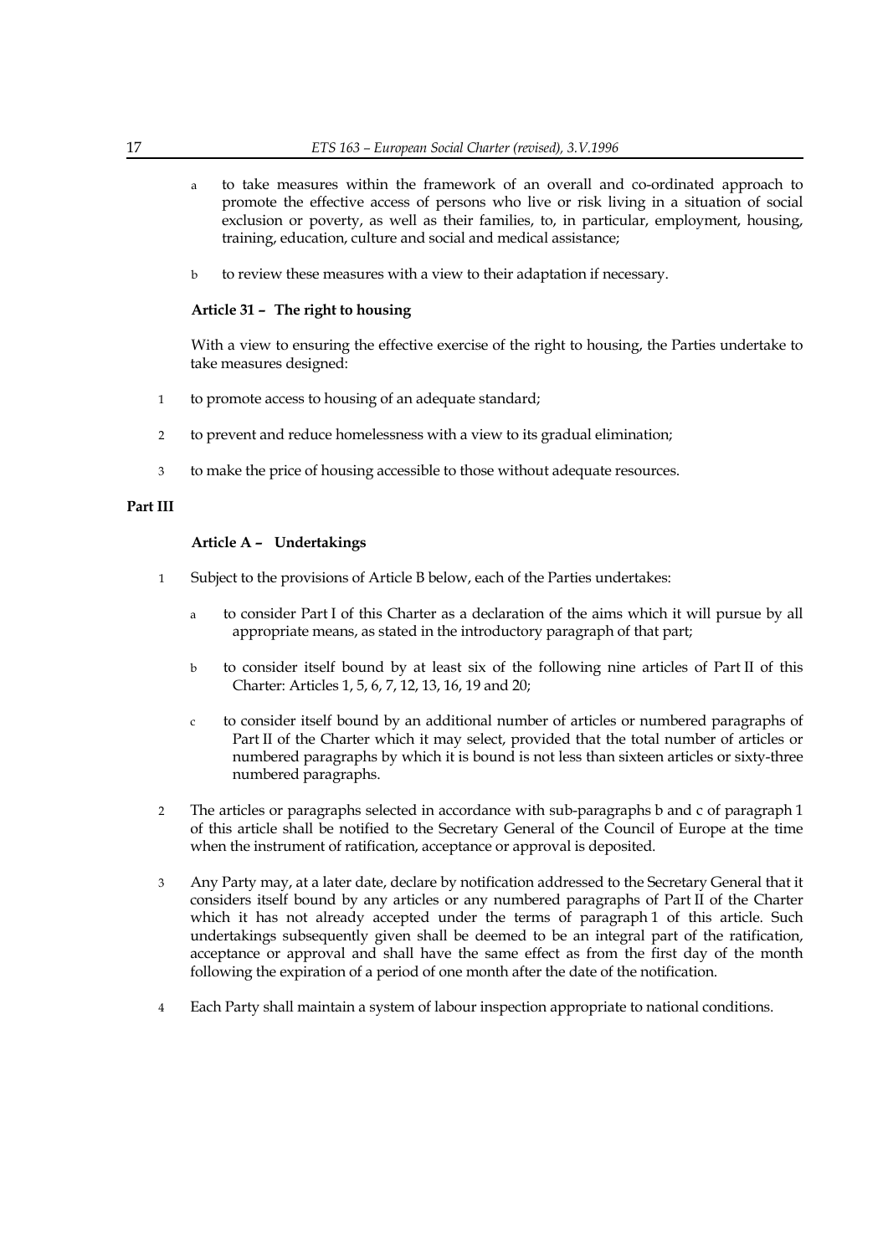- a to take measures within the framework of an overall and co-ordinated approach to promote the effective access of persons who live or risk living in a situation of social exclusion or poverty, as well as their families, to, in particular, employment, housing, training, education, culture and social and medical assistance;
- b to review these measures with a view to their adaptation if necessary.

# **Article 31 – The right to housing**

With a view to ensuring the effective exercise of the right to housing, the Parties undertake to take measures designed:

- 1 to promote access to housing of an adequate standard;
- 2 to prevent and reduce homelessness with a view to its gradual elimination;
- 3 to make the price of housing accessible to those without adequate resources.

## **Part III**

## **Article A – Undertakings**

- 1 Subject to the provisions of Article B below, each of the Parties undertakes:
	- a to consider Part I of this Charter as a declaration of the aims which it will pursue by all appropriate means, as stated in the introductory paragraph of that part;
	- b to consider itself bound by at least six of the following nine articles of Part II of this Charter: Articles 1, 5, 6, 7, 12, 13, 16, 19 and 20;
	- c to consider itself bound by an additional number of articles or numbered paragraphs of Part II of the Charter which it may select, provided that the total number of articles or numbered paragraphs by which it is bound is not less than sixteen articles or sixty-three numbered paragraphs.
- 2 The articles or paragraphs selected in accordance with sub-paragraphs b and c of paragraph 1 of this article shall be notified to the Secretary General of the Council of Europe at the time when the instrument of ratification, acceptance or approval is deposited.
- 3 Any Party may, at a later date, declare by notification addressed to the Secretary General that it considers itself bound by any articles or any numbered paragraphs of Part II of the Charter which it has not already accepted under the terms of paragraph 1 of this article. Such undertakings subsequently given shall be deemed to be an integral part of the ratification, acceptance or approval and shall have the same effect as from the first day of the month following the expiration of a period of one month after the date of the notification.
- 4 Each Party shall maintain a system of labour inspection appropriate to national conditions.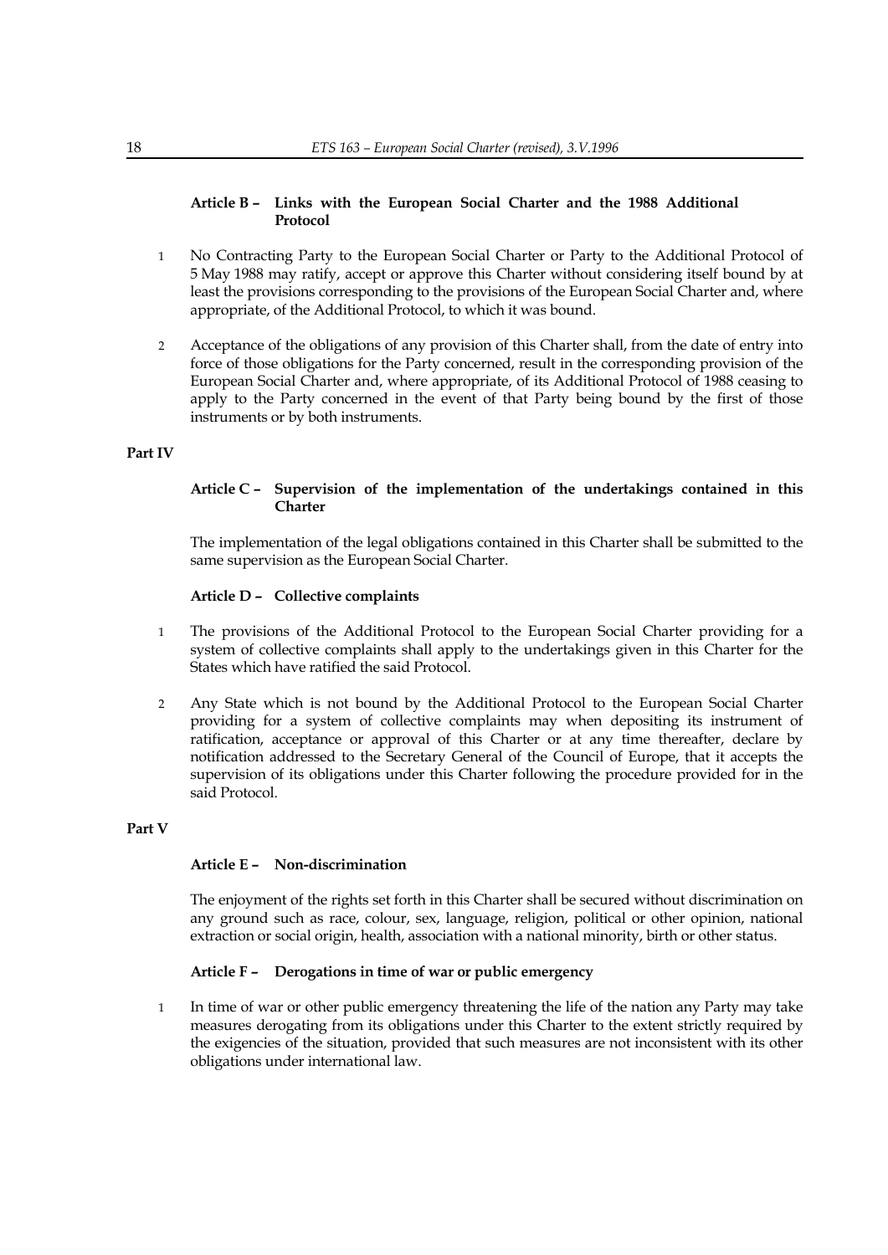## **Article B – Links with the European Social Charter and the 1988 Additional Protocol**

- 1 No Contracting Party to the European Social Charter or Party to the Additional Protocol of 5 May 1988 may ratify, accept or approve this Charter without considering itself bound by at least the provisions corresponding to the provisions of the European Social Charter and, where appropriate, of the Additional Protocol, to which it was bound.
- 2 Acceptance of the obligations of any provision of this Charter shall, from the date of entry into force of those obligations for the Party concerned, result in the corresponding provision of the European Social Charter and, where appropriate, of its Additional Protocol of 1988 ceasing to apply to the Party concerned in the event of that Party being bound by the first of those instruments or by both instruments.

#### **Part IV**

## **Article C – Supervision of the implementation of the undertakings contained in this Charter**

The implementation of the legal obligations contained in this Charter shall be submitted to the same supervision as the European Social Charter.

# **Article D – Collective complaints**

- 1 The provisions of the Additional Protocol to the European Social Charter providing for a system of collective complaints shall apply to the undertakings given in this Charter for the States which have ratified the said Protocol.
- 2 Any State which is not bound by the Additional Protocol to the European Social Charter providing for a system of collective complaints may when depositing its instrument of ratification, acceptance or approval of this Charter or at any time thereafter, declare by notification addressed to the Secretary General of the Council of Europe, that it accepts the supervision of its obligations under this Charter following the procedure provided for in the said Protocol.

## **Part V**

## **Article E – Non-discrimination**

The enjoyment of the rights set forth in this Charter shall be secured without discrimination on any ground such as race, colour, sex, language, religion, political or other opinion, national extraction or social origin, health, association with a national minority, birth or other status.

## **Article F – Derogations in time of war or public emergency**

1 In time of war or other public emergency threatening the life of the nation any Party may take measures derogating from its obligations under this Charter to the extent strictly required by the exigencies of the situation, provided that such measures are not inconsistent with its other obligations under international law.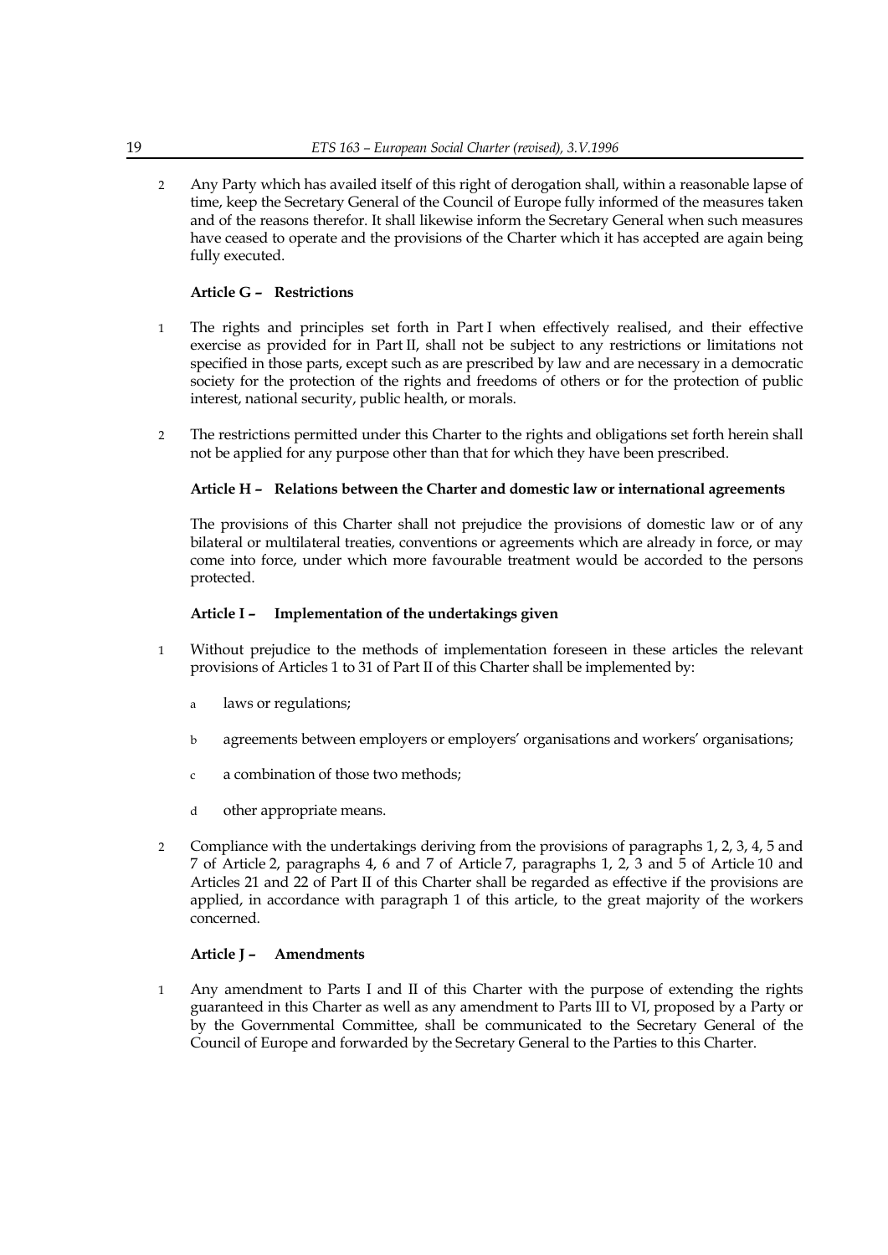2 Any Party which has availed itself of this right of derogation shall, within a reasonable lapse of time, keep the Secretary General of the Council of Europe fully informed of the measures taken and of the reasons therefor. It shall likewise inform the Secretary General when such measures have ceased to operate and the provisions of the Charter which it has accepted are again being fully executed.

# **Article G – Restrictions**

- 1 The rights and principles set forth in Part I when effectively realised, and their effective exercise as provided for in Part II, shall not be subject to any restrictions or limitations not specified in those parts, except such as are prescribed by law and are necessary in a democratic society for the protection of the rights and freedoms of others or for the protection of public interest, national security, public health, or morals.
- 2 The restrictions permitted under this Charter to the rights and obligations set forth herein shall not be applied for any purpose other than that for which they have been prescribed.

# **Article H – Relations between the Charter and domestic law or international agreements**

The provisions of this Charter shall not prejudice the provisions of domestic law or of any bilateral or multilateral treaties, conventions or agreements which are already in force, or may come into force, under which more favourable treatment would be accorded to the persons protected.

## **Article I – Implementation of the undertakings given**

- 1 Without prejudice to the methods of implementation foreseen in these articles the relevant provisions of Articles 1 to 31 of Part II of this Charter shall be implemented by:
	- a laws or regulations;
	- b agreements between employers or employers' organisations and workers' organisations;
	- c a combination of those two methods;
	- d other appropriate means.
- 2 Compliance with the undertakings deriving from the provisions of paragraphs 1, 2, 3, 4, 5 and 7 of Article 2, paragraphs 4, 6 and 7 of Article 7, paragraphs 1, 2, 3 and 5 of Article 10 and Articles 21 and 22 of Part II of this Charter shall be regarded as effective if the provisions are applied, in accordance with paragraph 1 of this article, to the great majority of the workers concerned.

## **Article J – Amendments**

1 Any amendment to Parts I and II of this Charter with the purpose of extending the rights guaranteed in this Charter as well as any amendment to Parts III to VI, proposed by a Party or by the Governmental Committee, shall be communicated to the Secretary General of the Council of Europe and forwarded by the Secretary General to the Parties to this Charter.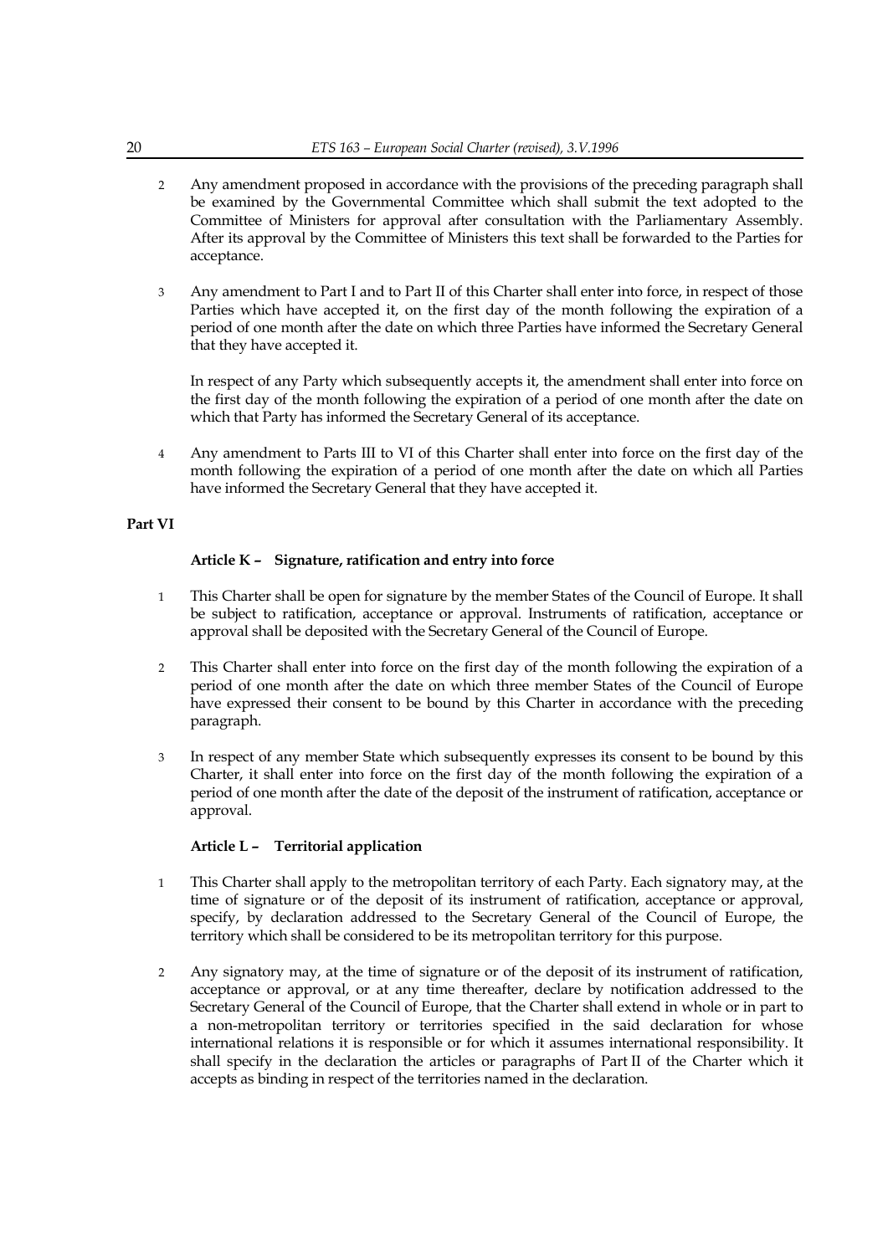- 2 Any amendment proposed in accordance with the provisions of the preceding paragraph shall be examined by the Governmental Committee which shall submit the text adopted to the Committee of Ministers for approval after consultation with the Parliamentary Assembly. After its approval by the Committee of Ministers this text shall be forwarded to the Parties for acceptance.
- 3 Any amendment to Part I and to Part II of this Charter shall enter into force, in respect of those Parties which have accepted it, on the first day of the month following the expiration of a period of one month after the date on which three Parties have informed the Secretary General that they have accepted it.

In respect of any Party which subsequently accepts it, the amendment shall enter into force on the first day of the month following the expiration of a period of one month after the date on which that Party has informed the Secretary General of its acceptance.

4 Any amendment to Parts III to VI of this Charter shall enter into force on the first day of the month following the expiration of a period of one month after the date on which all Parties have informed the Secretary General that they have accepted it.

## **Part VI**

## **Article K – Signature, ratification and entry into force**

- 1 This Charter shall be open for signature by the member States of the Council of Europe. It shall be subject to ratification, acceptance or approval. Instruments of ratification, acceptance or approval shall be deposited with the Secretary General of the Council of Europe.
- 2 This Charter shall enter into force on the first day of the month following the expiration of a period of one month after the date on which three member States of the Council of Europe have expressed their consent to be bound by this Charter in accordance with the preceding paragraph.
- 3 In respect of any member State which subsequently expresses its consent to be bound by this Charter, it shall enter into force on the first day of the month following the expiration of a period of one month after the date of the deposit of the instrument of ratification, acceptance or approval.

## **Article L – Territorial application**

- 1 This Charter shall apply to the metropolitan territory of each Party. Each signatory may, at the time of signature or of the deposit of its instrument of ratification, acceptance or approval, specify, by declaration addressed to the Secretary General of the Council of Europe, the territory which shall be considered to be its metropolitan territory for this purpose.
- 2 Any signatory may, at the time of signature or of the deposit of its instrument of ratification, acceptance or approval, or at any time thereafter, declare by notification addressed to the Secretary General of the Council of Europe, that the Charter shall extend in whole or in part to a non-metropolitan territory or territories specified in the said declaration for whose international relations it is responsible or for which it assumes international responsibility. It shall specify in the declaration the articles or paragraphs of Part II of the Charter which it accepts as binding in respect of the territories named in the declaration.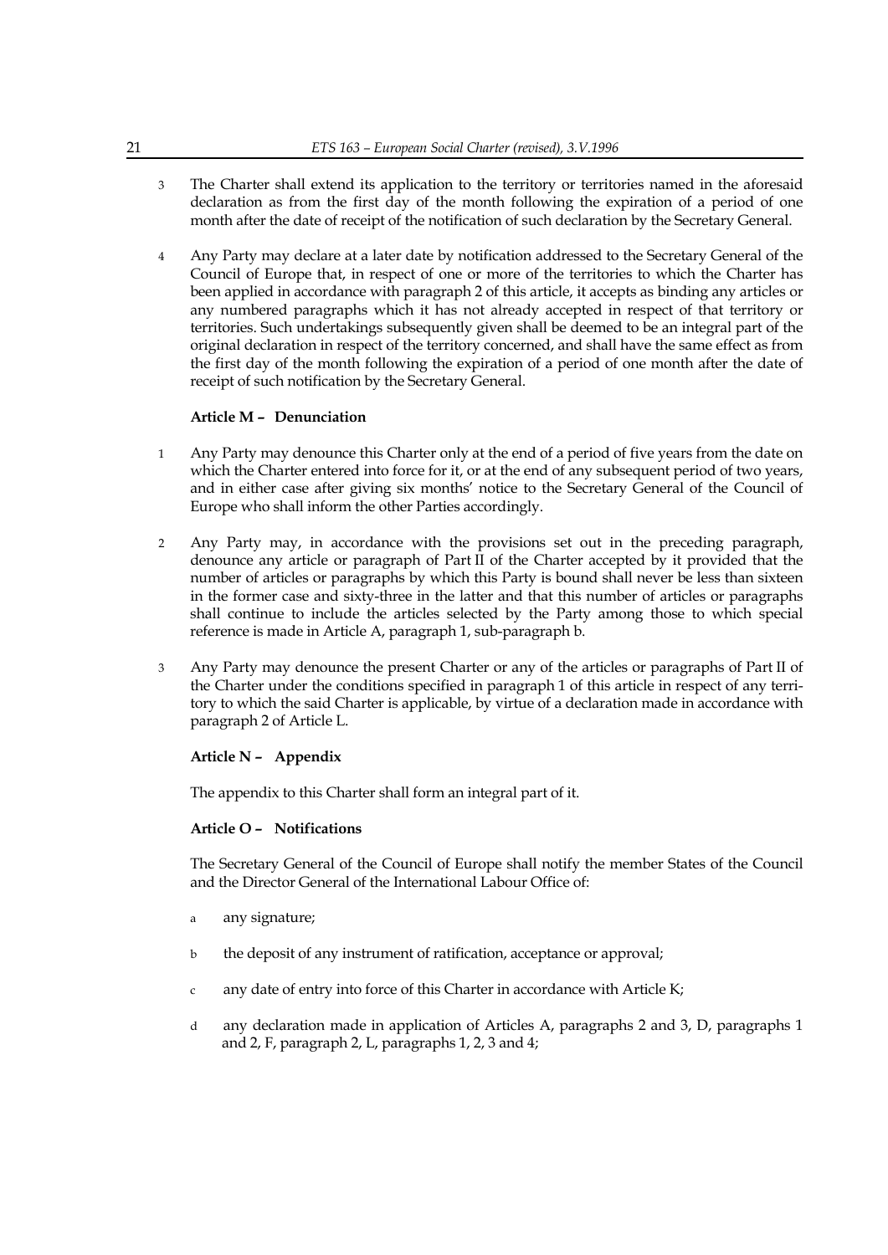- 3 The Charter shall extend its application to the territory or territories named in the aforesaid declaration as from the first day of the month following the expiration of a period of one month after the date of receipt of the notification of such declaration by the Secretary General.
- 4 Any Party may declare at a later date by notification addressed to the Secretary General of the Council of Europe that, in respect of one or more of the territories to which the Charter has been applied in accordance with paragraph 2 of this article, it accepts as binding any articles or any numbered paragraphs which it has not already accepted in respect of that territory or territories. Such undertakings subsequently given shall be deemed to be an integral part of the original declaration in respect of the territory concerned, and shall have the same effect as from the first day of the month following the expiration of a period of one month after the date of receipt of such notification by the Secretary General.

## **Article M – Denunciation**

- 1 Any Party may denounce this Charter only at the end of a period of five years from the date on which the Charter entered into force for it, or at the end of any subsequent period of two years, and in either case after giving six months' notice to the Secretary General of the Council of Europe who shall inform the other Parties accordingly.
- 2 Any Party may, in accordance with the provisions set out in the preceding paragraph, denounce any article or paragraph of Part II of the Charter accepted by it provided that the number of articles or paragraphs by which this Party is bound shall never be less than sixteen in the former case and sixty-three in the latter and that this number of articles or paragraphs shall continue to include the articles selected by the Party among those to which special reference is made in Article A, paragraph 1, sub-paragraph b.
- 3 Any Party may denounce the present Charter or any of the articles or paragraphs of Part II of the Charter under the conditions specified in paragraph 1 of this article in respect of any territory to which the said Charter is applicable, by virtue of a declaration made in accordance with paragraph 2 of Article L.

# **Article N – Appendix**

The appendix to this Charter shall form an integral part of it.

## **Article O – Notifications**

The Secretary General of the Council of Europe shall notify the member States of the Council and the Director General of the International Labour Office of:

- a any signature;
- b the deposit of any instrument of ratification, acceptance or approval;
- c any date of entry into force of this Charter in accordance with Article K;
- d any declaration made in application of Articles A, paragraphs 2 and 3, D, paragraphs 1 and 2, F, paragraph 2, L, paragraphs 1, 2, 3 and 4;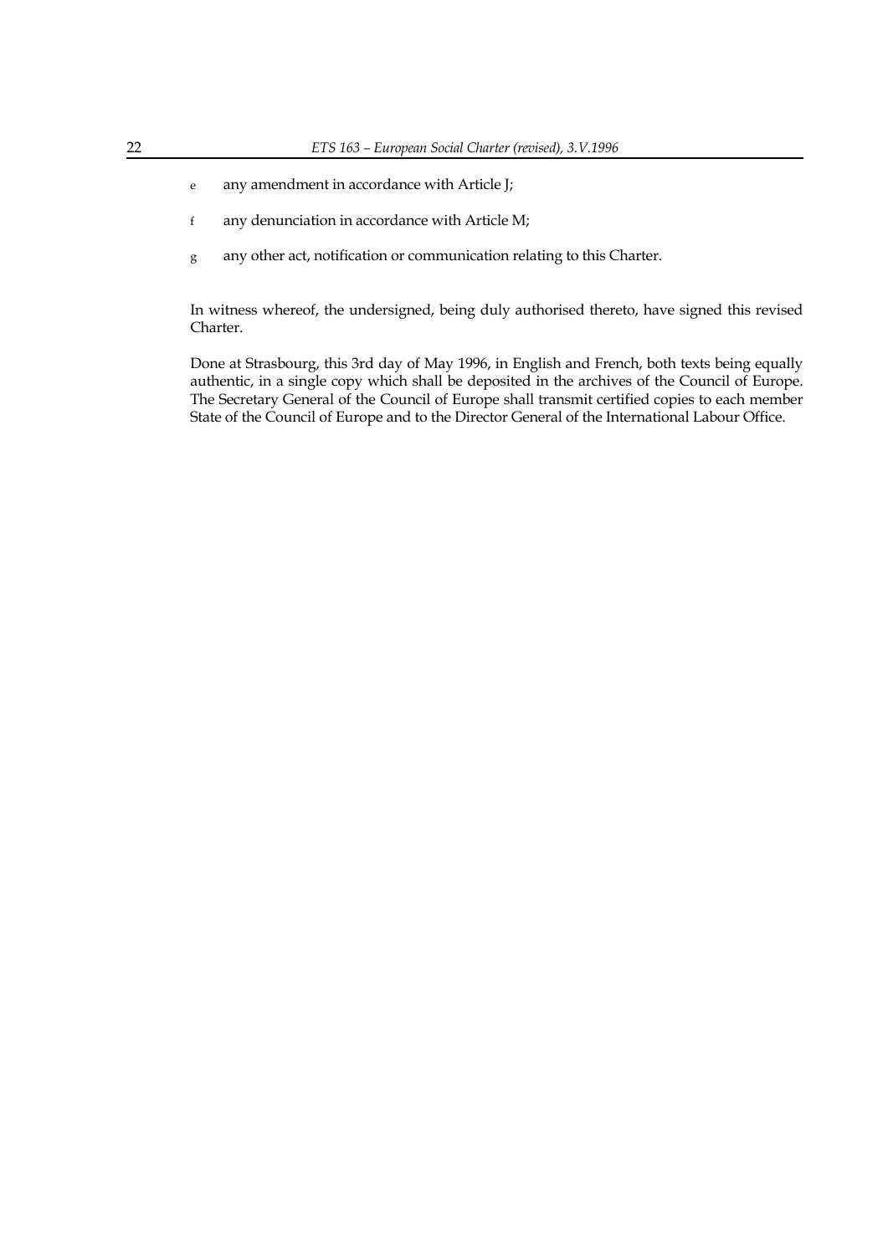- e any amendment in accordance with Article J;
- f any denunciation in accordance with Article M;
- g any other act, notification or communication relating to this Charter.

In witness whereof, the undersigned, being duly authorised thereto, have signed this revised Charter.

Done at Strasbourg, this 3rd day of May 1996, in English and French, both texts being equally authentic, in a single copy which shall be deposited in the archives of the Council of Europe. The Secretary General of the Council of Europe shall transmit certified copies to each member State of the Council of Europe and to the Director General of the International Labour Office.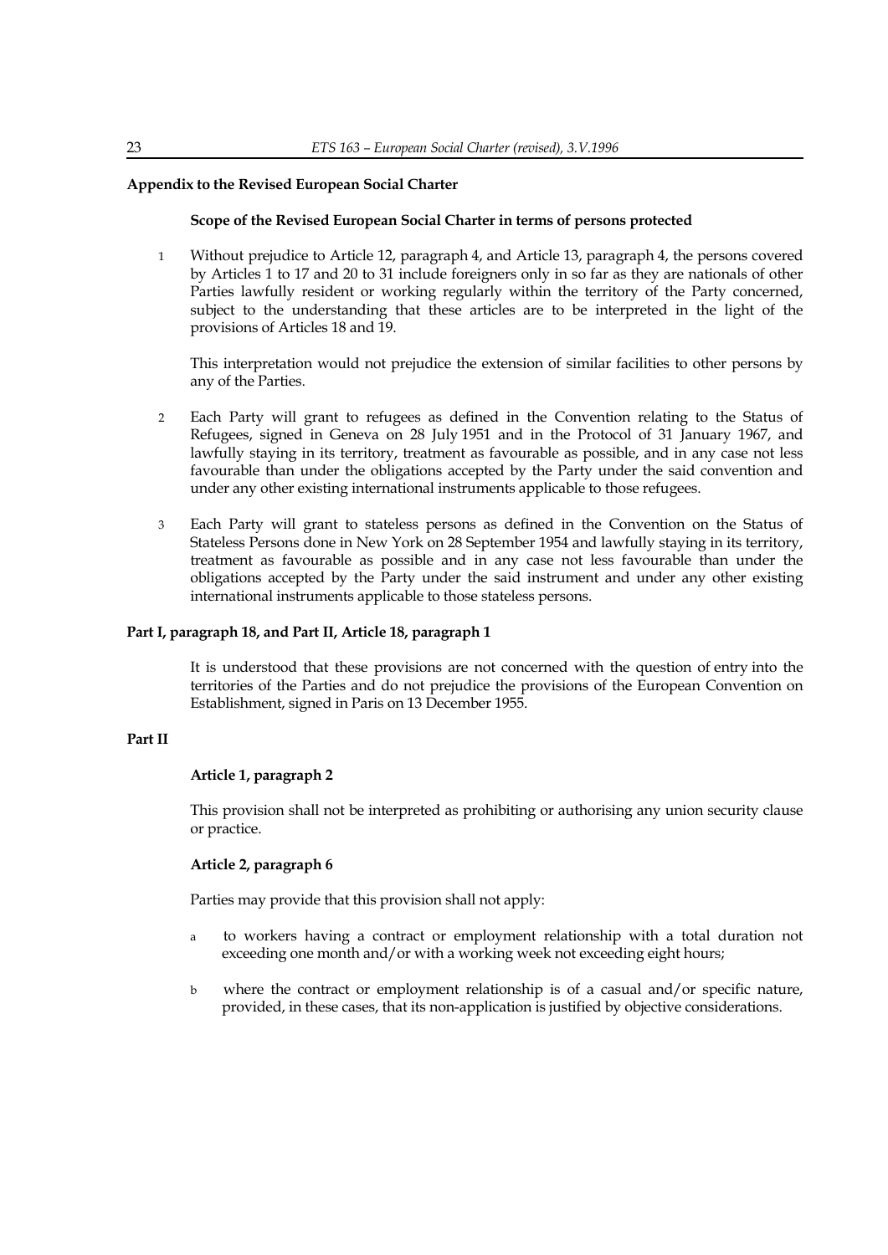## **Appendix to the Revised European Social Charter**

#### **Scope of the Revised European Social Charter in terms of persons protected**

1 Without prejudice to Article 12, paragraph 4, and Article 13, paragraph 4, the persons covered by Articles 1 to 17 and 20 to 31 include foreigners only in so far as they are nationals of other Parties lawfully resident or working regularly within the territory of the Party concerned, subject to the understanding that these articles are to be interpreted in the light of the provisions of Articles 18 and 19.

This interpretation would not prejudice the extension of similar facilities to other persons by any of the Parties.

- 2 Each Party will grant to refugees as defined in the Convention relating to the Status of Refugees, signed in Geneva on 28 July 1951 and in the Protocol of 31 January 1967, and lawfully staying in its territory, treatment as favourable as possible, and in any case not less favourable than under the obligations accepted by the Party under the said convention and under any other existing international instruments applicable to those refugees.
- 3 Each Party will grant to stateless persons as defined in the Convention on the Status of Stateless Persons done in New York on 28 September 1954 and lawfully staying in its territory, treatment as favourable as possible and in any case not less favourable than under the obligations accepted by the Party under the said instrument and under any other existing international instruments applicable to those stateless persons.

## **Part I, paragraph 18, and Part II, Article 18, paragraph 1**

It is understood that these provisions are not concerned with the question of entry into the territories of the Parties and do not prejudice the provisions of the European Convention on Establishment, signed in Paris on 13 December 1955.

#### **Part II**

## **Article 1, paragraph 2**

This provision shall not be interpreted as prohibiting or authorising any union security clause or practice.

#### **Article 2, paragraph 6**

Parties may provide that this provision shall not apply:

- a to workers having a contract or employment relationship with a total duration not exceeding one month and/or with a working week not exceeding eight hours;
- b where the contract or employment relationship is of a casual and/or specific nature, provided, in these cases, that its non-application is justified by objective considerations.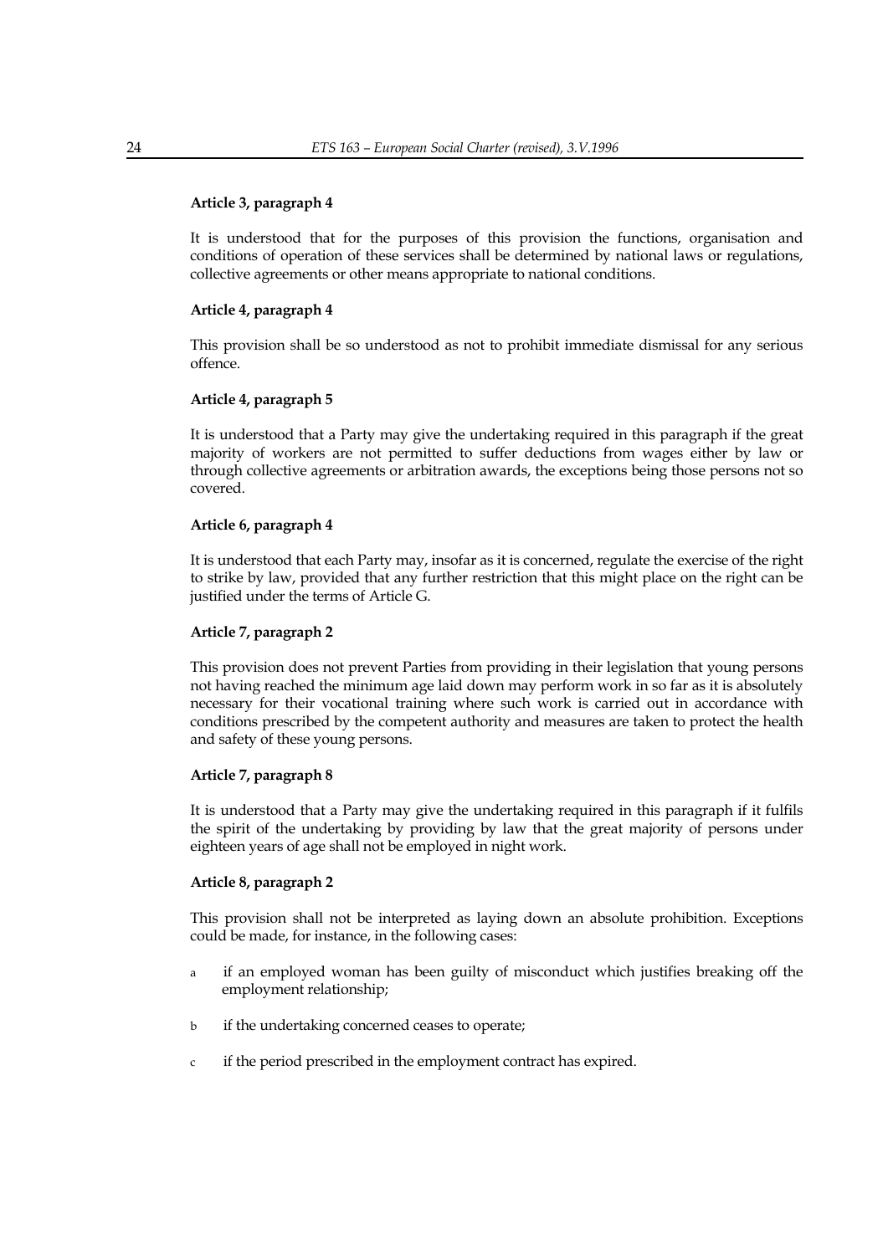#### **Article 3, paragraph 4**

It is understood that for the purposes of this provision the functions, organisation and conditions of operation of these services shall be determined by national laws or regulations, collective agreements or other means appropriate to national conditions.

#### **Article 4, paragraph 4**

This provision shall be so understood as not to prohibit immediate dismissal for any serious offence.

## **Article 4, paragraph 5**

It is understood that a Party may give the undertaking required in this paragraph if the great majority of workers are not permitted to suffer deductions from wages either by law or through collective agreements or arbitration awards, the exceptions being those persons not so covered.

#### **Article 6, paragraph 4**

It is understood that each Party may, insofar as it is concerned, regulate the exercise of the right to strike by law, provided that any further restriction that this might place on the right can be justified under the terms of Article G.

## **Article 7, paragraph 2**

This provision does not prevent Parties from providing in their legislation that young persons not having reached the minimum age laid down may perform work in so far as it is absolutely necessary for their vocational training where such work is carried out in accordance with conditions prescribed by the competent authority and measures are taken to protect the health and safety of these young persons.

## **Article 7, paragraph 8**

It is understood that a Party may give the undertaking required in this paragraph if it fulfils the spirit of the undertaking by providing by law that the great majority of persons under eighteen years of age shall not be employed in night work.

#### **Article 8, paragraph 2**

This provision shall not be interpreted as laying down an absolute prohibition. Exceptions could be made, for instance, in the following cases:

- a if an employed woman has been guilty of misconduct which justifies breaking off the employment relationship;
- b if the undertaking concerned ceases to operate;
- c if the period prescribed in the employment contract has expired.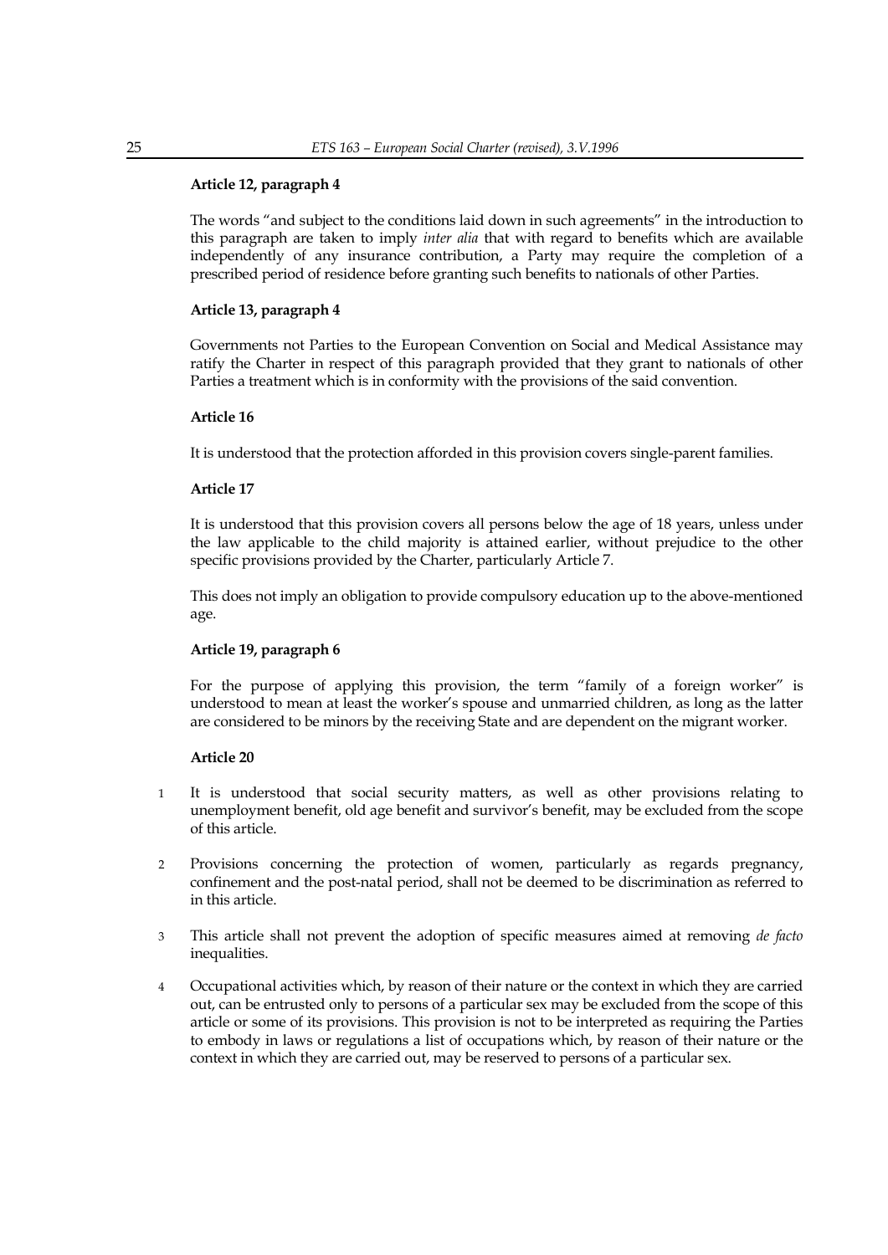## **Article 12, paragraph 4**

The words "and subject to the conditions laid down in such agreements" in the introduction to this paragraph are taken to imply *inter alia* that with regard to benefits which are available independently of any insurance contribution, a Party may require the completion of a prescribed period of residence before granting such benefits to nationals of other Parties.

## **Article 13, paragraph 4**

Governments not Parties to the European Convention on Social and Medical Assistance may ratify the Charter in respect of this paragraph provided that they grant to nationals of other Parties a treatment which is in conformity with the provisions of the said convention.

## **Article 16**

It is understood that the protection afforded in this provision covers single-parent families.

#### **Article 17**

It is understood that this provision covers all persons below the age of 18 years, unless under the law applicable to the child majority is attained earlier, without prejudice to the other specific provisions provided by the Charter, particularly Article 7.

This does not imply an obligation to provide compulsory education up to the above-mentioned age.

# **Article 19, paragraph 6**

For the purpose of applying this provision, the term "family of a foreign worker" is understood to mean at least the worker's spouse and unmarried children, as long as the latter are considered to be minors by the receiving State and are dependent on the migrant worker.

## **Article 20**

- 1 It is understood that social security matters, as well as other provisions relating to unemployment benefit, old age benefit and survivor's benefit, may be excluded from the scope of this article.
- 2 Provisions concerning the protection of women, particularly as regards pregnancy, confinement and the post-natal period, shall not be deemed to be discrimination as referred to in this article.
- 3 This article shall not prevent the adoption of specific measures aimed at removing *de facto* inequalities.
- 4 Occupational activities which, by reason of their nature or the context in which they are carried out, can be entrusted only to persons of a particular sex may be excluded from the scope of this article or some of its provisions. This provision is not to be interpreted as requiring the Parties to embody in laws or regulations a list of occupations which, by reason of their nature or the context in which they are carried out, may be reserved to persons of a particular sex.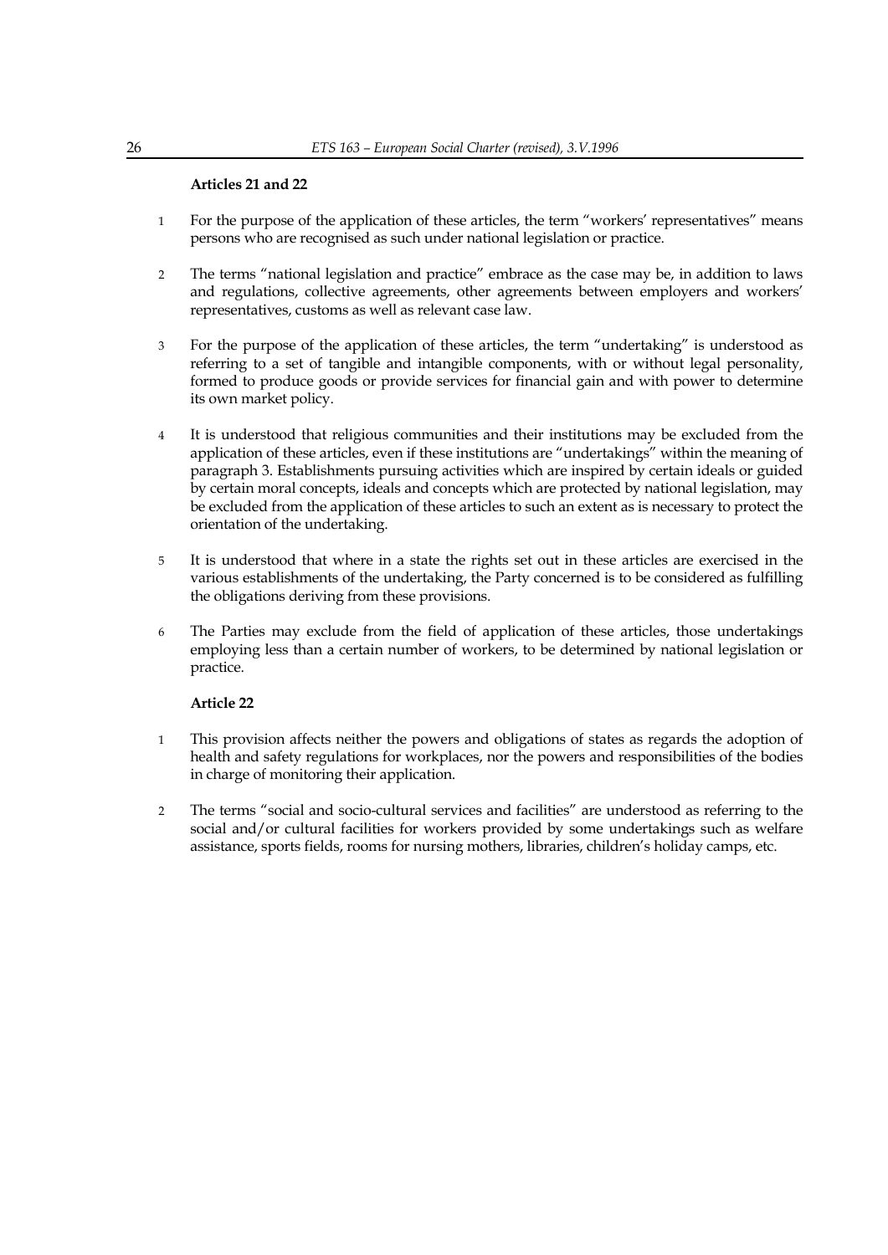## **Articles 21 and 22**

- 1 For the purpose of the application of these articles, the term "workers' representatives" means persons who are recognised as such under national legislation or practice.
- 2 The terms "national legislation and practice" embrace as the case may be, in addition to laws and regulations, collective agreements, other agreements between employers and workers' representatives, customs as well as relevant case law.
- 3 For the purpose of the application of these articles, the term "undertaking" is understood as referring to a set of tangible and intangible components, with or without legal personality, formed to produce goods or provide services for financial gain and with power to determine its own market policy.
- 4 It is understood that religious communities and their institutions may be excluded from the application of these articles, even if these institutions are "undertakings" within the meaning of paragraph 3. Establishments pursuing activities which are inspired by certain ideals or guided by certain moral concepts, ideals and concepts which are protected by national legislation, may be excluded from the application of these articles to such an extent as is necessary to protect the orientation of the undertaking.
- 5 It is understood that where in a state the rights set out in these articles are exercised in the various establishments of the undertaking, the Party concerned is to be considered as fulfilling the obligations deriving from these provisions.
- 6 The Parties may exclude from the field of application of these articles, those undertakings employing less than a certain number of workers, to be determined by national legislation or practice.

# **Article 22**

- 1 This provision affects neither the powers and obligations of states as regards the adoption of health and safety regulations for workplaces, nor the powers and responsibilities of the bodies in charge of monitoring their application.
- 2 The terms "social and socio-cultural services and facilities" are understood as referring to the social and/or cultural facilities for workers provided by some undertakings such as welfare assistance, sports fields, rooms for nursing mothers, libraries, children's holiday camps, etc.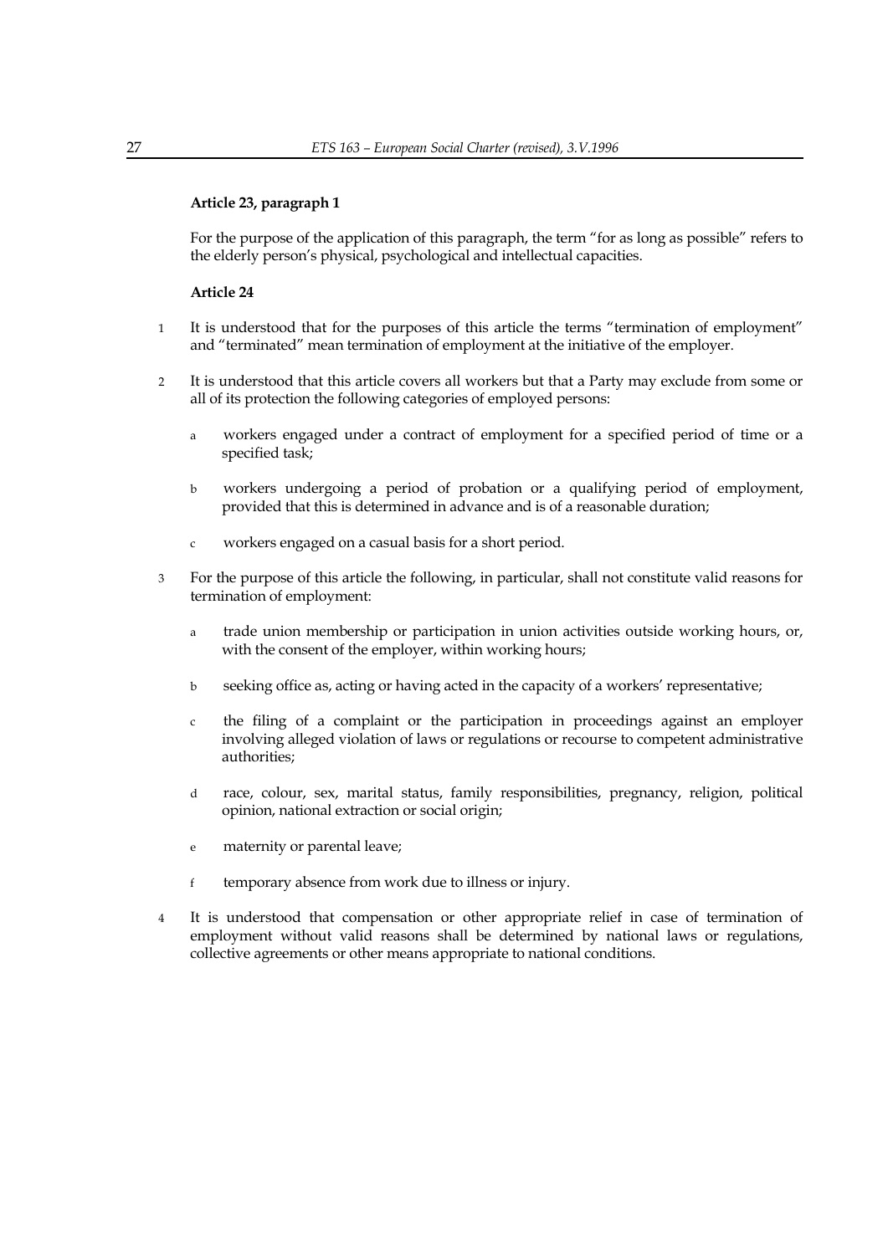## **Article 23, paragraph 1**

For the purpose of the application of this paragraph, the term "for as long as possible" refers to the elderly person's physical, psychological and intellectual capacities.

## **Article 24**

- 1 It is understood that for the purposes of this article the terms "termination of employment" and "terminated" mean termination of employment at the initiative of the employer.
- 2 It is understood that this article covers all workers but that a Party may exclude from some or all of its protection the following categories of employed persons:
	- a workers engaged under a contract of employment for a specified period of time or a specified task;
	- b workers undergoing a period of probation or a qualifying period of employment, provided that this is determined in advance and is of a reasonable duration;
	- c workers engaged on a casual basis for a short period.
- 3 For the purpose of this article the following, in particular, shall not constitute valid reasons for termination of employment:
	- a trade union membership or participation in union activities outside working hours, or, with the consent of the employer, within working hours;
	- b seeking office as, acting or having acted in the capacity of a workers' representative;
	- c the filing of a complaint or the participation in proceedings against an employer involving alleged violation of laws or regulations or recourse to competent administrative authorities;
	- d race, colour, sex, marital status, family responsibilities, pregnancy, religion, political opinion, national extraction or social origin;
	- e maternity or parental leave;
	- f temporary absence from work due to illness or injury.
- 4 It is understood that compensation or other appropriate relief in case of termination of employment without valid reasons shall be determined by national laws or regulations, collective agreements or other means appropriate to national conditions.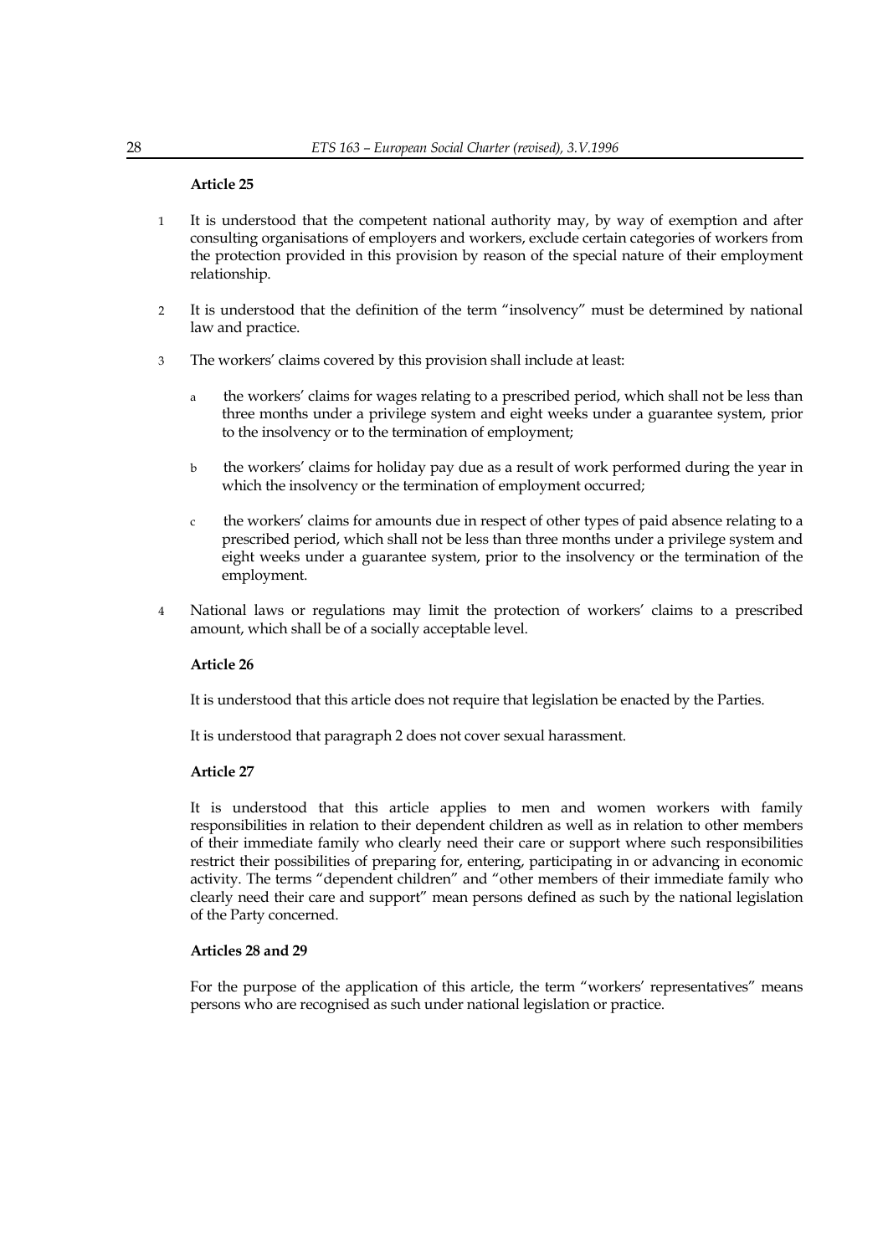# **Article 25**

- 1 It is understood that the competent national authority may, by way of exemption and after consulting organisations of employers and workers, exclude certain categories of workers from the protection provided in this provision by reason of the special nature of their employment relationship.
- 2 It is understood that the definition of the term "insolvency" must be determined by national law and practice.
- 3 The workers' claims covered by this provision shall include at least:
	- a the workers' claims for wages relating to a prescribed period, which shall not be less than three months under a privilege system and eight weeks under a guarantee system, prior to the insolvency or to the termination of employment;
	- b the workers' claims for holiday pay due as a result of work performed during the year in which the insolvency or the termination of employment occurred;
	- c the workers' claims for amounts due in respect of other types of paid absence relating to a prescribed period, which shall not be less than three months under a privilege system and eight weeks under a guarantee system, prior to the insolvency or the termination of the employment.
- 4 National laws or regulations may limit the protection of workers' claims to a prescribed amount, which shall be of a socially acceptable level.

#### **Article 26**

It is understood that this article does not require that legislation be enacted by the Parties.

It is understood that paragraph 2 does not cover sexual harassment.

#### **Article 27**

It is understood that this article applies to men and women workers with family responsibilities in relation to their dependent children as well as in relation to other members of their immediate family who clearly need their care or support where such responsibilities restrict their possibilities of preparing for, entering, participating in or advancing in economic activity. The terms "dependent children" and "other members of their immediate family who clearly need their care and support" mean persons defined as such by the national legislation of the Party concerned.

#### **Articles 28 and 29**

For the purpose of the application of this article, the term "workers' representatives" means persons who are recognised as such under national legislation or practice.